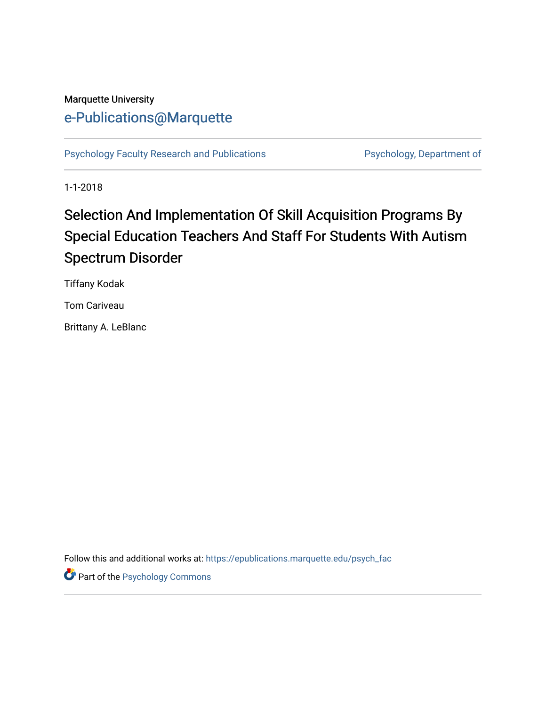## Marquette University [e-Publications@Marquette](https://epublications.marquette.edu/)

[Psychology Faculty Research and Publications](https://epublications.marquette.edu/psych_fac) Psychology, Department of

1-1-2018

# Selection And Implementation Of Skill Acquisition Programs By Special Education Teachers And Staff For Students With Autism Spectrum Disorder

Tiffany Kodak

Tom Cariveau

Brittany A. LeBlanc

Follow this and additional works at: [https://epublications.marquette.edu/psych\\_fac](https://epublications.marquette.edu/psych_fac?utm_source=epublications.marquette.edu%2Fpsych_fac%2F440&utm_medium=PDF&utm_campaign=PDFCoverPages)

Part of the [Psychology Commons](http://network.bepress.com/hgg/discipline/404?utm_source=epublications.marquette.edu%2Fpsych_fac%2F440&utm_medium=PDF&utm_campaign=PDFCoverPages)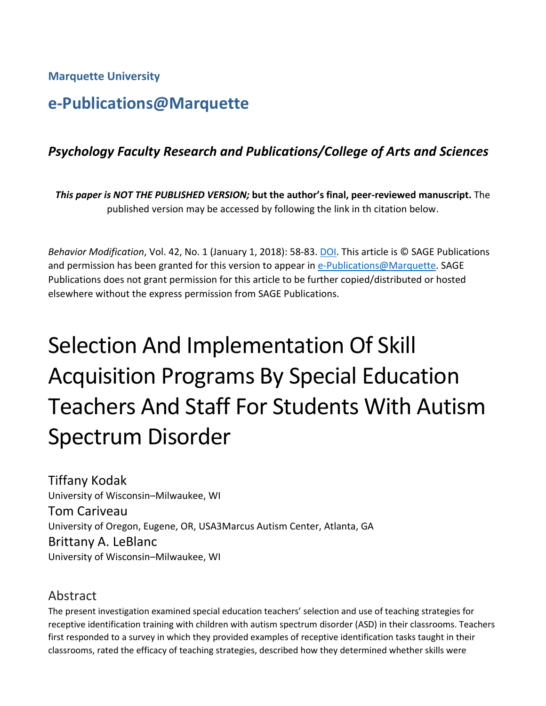**Marquette University**

## **e-Publications@Marquette**

## *Psychology Faculty Research and Publications/College of Arts and Sciences*

*This paper is NOT THE PUBLISHED VERSION;* **but the author's final, peer-reviewed manuscript.** The published version may be accessed by following the link in th citation below.

*Behavior Modification*, Vol. 42, No. 1 (January 1, 2018): 58-83. [DOI.](https://doi.org/10.1177%2F0145445517692081) This article is © SAGE Publications and permission has been granted for this version to appear in [e-Publications@Marquette.](http://epublications.marquette.edu/) SAGE Publications does not grant permission for this article to be further copied/distributed or hosted elsewhere without the express permission from SAGE Publications.

# Selection And Implementation Of Skill Acquisition Programs By Special Education Teachers And Staff For Students With Autism Spectrum Disorder

Tiffany Kodak University of Wisconsin–Milwaukee, WI Tom Cariveau University of Oregon, Eugene, OR, USA3Marcus Autism Center, Atlanta, GA Brittany A. LeBlanc University of Wisconsin–Milwaukee, WI

## Abstract

The present investigation examined special education teachers' selection and use of teaching strategies for receptive identification training with children with autism spectrum disorder (ASD) in their classrooms. Teachers first responded to a survey in which they provided examples of receptive identification tasks taught in their classrooms, rated the efficacy of teaching strategies, described how they determined whether skills were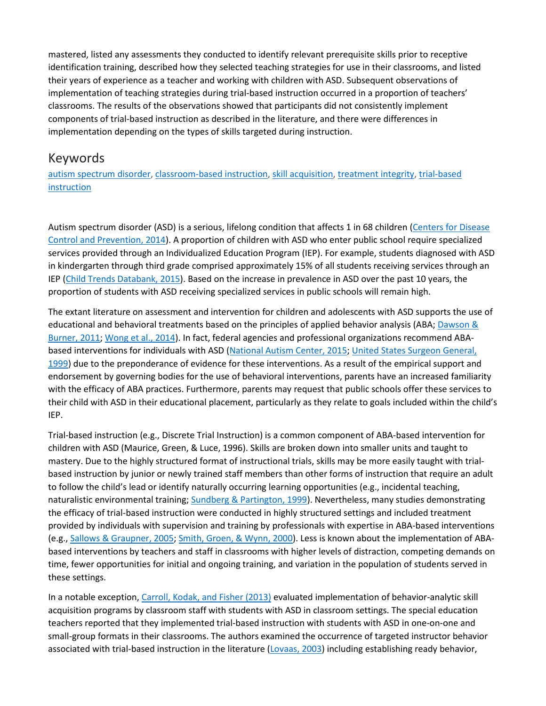mastered, listed any assessments they conducted to identify relevant prerequisite skills prior to receptive identification training, described how they selected teaching strategies for use in their classrooms, and listed their years of experience as a teacher and working with children with ASD. Subsequent observations of implementation of teaching strategies during trial-based instruction occurred in a proportion of teachers' classrooms. The results of the observations showed that participants did not consistently implement components of trial-based instruction as described in the literature, and there were differences in implementation depending on the types of skills targeted during instruction.

## Keywords

[autism spectrum disorder,](https://0-journals-sagepub-com.libus.csd.mu.edu/keyword/Autism+Spectrum+Disorder) [classroom-based instruction,](https://0-journals-sagepub-com.libus.csd.mu.edu/keyword/Classroom-based+Instruction) [skill acquisition,](https://0-journals-sagepub-com.libus.csd.mu.edu/keyword/Skill+Acquisition) [treatment integrity,](https://0-journals-sagepub-com.libus.csd.mu.edu/keyword/Treatment+Integrity) [trial-based](https://0-journals-sagepub-com.libus.csd.mu.edu/keyword/Trial-based+Instruction)  [instruction](https://0-journals-sagepub-com.libus.csd.mu.edu/keyword/Trial-based+Instruction)

Autism spectrum disorder (ASD) is a serious, lifelong condition that affects 1 in 68 children [\(Centers for Disease](https://0-journals-sagepub-com.libus.csd.mu.edu/doi/full/10.1177/0145445517692081)  [Control and Prevention, 2014\)](https://0-journals-sagepub-com.libus.csd.mu.edu/doi/full/10.1177/0145445517692081). A proportion of children with ASD who enter public school require specialized services provided through an Individualized Education Program (IEP). For example, students diagnosed with ASD in kindergarten through third grade comprised approximately 15% of all students receiving services through an IEP [\(Child Trends Databank, 2015\)](https://0-journals-sagepub-com.libus.csd.mu.edu/doi/full/10.1177/0145445517692081). Based on the increase in prevalence in ASD over the past 10 years, the proportion of students with ASD receiving specialized services in public schools will remain high.

The extant literature on assessment and intervention for children and adolescents with ASD supports the use of educational and behavioral treatments based on the principles of applied behavior analysis (ABA; [Dawson &](https://0-journals-sagepub-com.libus.csd.mu.edu/doi/full/10.1177/0145445517692081)  [Burner, 2011;](https://0-journals-sagepub-com.libus.csd.mu.edu/doi/full/10.1177/0145445517692081) [Wong et al., 2014\)](https://0-journals-sagepub-com.libus.csd.mu.edu/doi/full/10.1177/0145445517692081). In fact, federal agencies and professional organizations recommend ABAbased interventions for individuals with ASD [\(National Autism Center, 2015;](https://0-journals-sagepub-com.libus.csd.mu.edu/doi/full/10.1177/0145445517692081) [United States Surgeon General,](https://0-journals-sagepub-com.libus.csd.mu.edu/doi/full/10.1177/0145445517692081)  [1999\)](https://0-journals-sagepub-com.libus.csd.mu.edu/doi/full/10.1177/0145445517692081) due to the preponderance of evidence for these interventions. As a result of the empirical support and endorsement by governing bodies for the use of behavioral interventions, parents have an increased familiarity with the efficacy of ABA practices. Furthermore, parents may request that public schools offer these services to their child with ASD in their educational placement, particularly as they relate to goals included within the child's IEP.

Trial-based instruction (e.g., Discrete Trial Instruction) is a common component of ABA-based intervention for children with ASD (Maurice, Green, & Luce, 1996). Skills are broken down into smaller units and taught to mastery. Due to the highly structured format of instructional trials, skills may be more easily taught with trialbased instruction by junior or newly trained staff members than other forms of instruction that require an adult to follow the child's lead or identify naturally occurring learning opportunities (e.g., incidental teaching, naturalistic environmental training; [Sundberg & Partington, 1999\)](https://0-journals-sagepub-com.libus.csd.mu.edu/doi/full/10.1177/0145445517692081). Nevertheless, many studies demonstrating the efficacy of trial-based instruction were conducted in highly structured settings and included treatment provided by individuals with supervision and training by professionals with expertise in ABA-based interventions (e.g., [Sallows & Graupner, 2005;](https://0-journals-sagepub-com.libus.csd.mu.edu/doi/full/10.1177/0145445517692081) [Smith, Groen, & Wynn, 2000\)](https://0-journals-sagepub-com.libus.csd.mu.edu/doi/full/10.1177/0145445517692081). Less is known about the implementation of ABAbased interventions by teachers and staff in classrooms with higher levels of distraction, competing demands on time, fewer opportunities for initial and ongoing training, and variation in the population of students served in these settings.

In a notable exception, [Carroll, Kodak, and Fisher \(2013\)](https://0-journals-sagepub-com.libus.csd.mu.edu/doi/full/10.1177/0145445517692081) evaluated implementation of behavior-analytic skill acquisition programs by classroom staff with students with ASD in classroom settings. The special education teachers reported that they implemented trial-based instruction with students with ASD in one-on-one and small-group formats in their classrooms. The authors examined the occurrence of targeted instructor behavior associated with trial-based instruction in the literature [\(Lovaas, 2003\)](https://0-journals-sagepub-com.libus.csd.mu.edu/doi/full/10.1177/0145445517692081) including establishing ready behavior,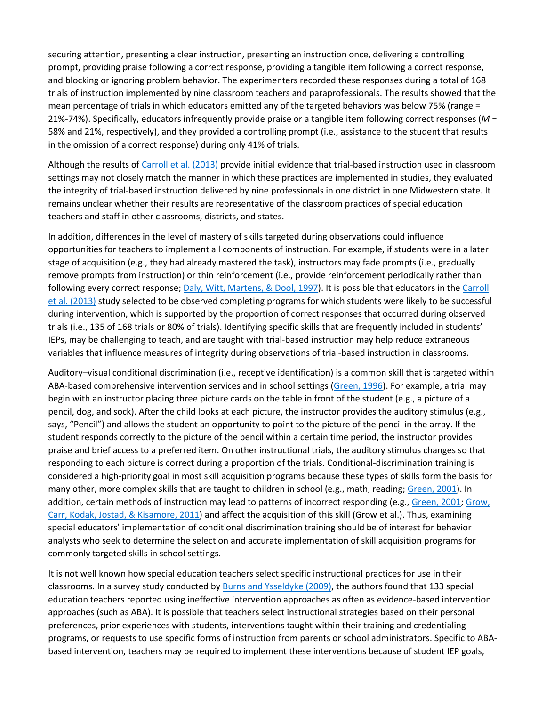securing attention, presenting a clear instruction, presenting an instruction once, delivering a controlling prompt, providing praise following a correct response, providing a tangible item following a correct response, and blocking or ignoring problem behavior. The experimenters recorded these responses during a total of 168 trials of instruction implemented by nine classroom teachers and paraprofessionals. The results showed that the mean percentage of trials in which educators emitted any of the targeted behaviors was below 75% (range = 21%-74%). Specifically, educators infrequently provide praise or a tangible item following correct responses (*M* = 58% and 21%, respectively), and they provided a controlling prompt (i.e., assistance to the student that results in the omission of a correct response) during only 41% of trials.

Although the results of [Carroll et al. \(2013\)](https://0-journals-sagepub-com.libus.csd.mu.edu/doi/full/10.1177/0145445517692081) provide initial evidence that trial-based instruction used in classroom settings may not closely match the manner in which these practices are implemented in studies, they evaluated the integrity of trial-based instruction delivered by nine professionals in one district in one Midwestern state. It remains unclear whether their results are representative of the classroom practices of special education teachers and staff in other classrooms, districts, and states.

In addition, differences in the level of mastery of skills targeted during observations could influence opportunities for teachers to implement all components of instruction. For example, if students were in a later stage of acquisition (e.g., they had already mastered the task), instructors may fade prompts (i.e., gradually remove prompts from instruction) or thin reinforcement (i.e., provide reinforcement periodically rather than following every correct response; [Daly, Witt, Martens,](https://0-journals-sagepub-com.libus.csd.mu.edu/doi/full/10.1177/0145445517692081) & Dool, 1997). It is possible that educators in the Carroll [et al. \(2013\)](https://0-journals-sagepub-com.libus.csd.mu.edu/doi/full/10.1177/0145445517692081) study selected to be observed completing programs for which students were likely to be successful during intervention, which is supported by the proportion of correct responses that occurred during observed trials (i.e., 135 of 168 trials or 80% of trials). Identifying specific skills that are frequently included in students' IEPs, may be challenging to teach, and are taught with trial-based instruction may help reduce extraneous variables that influence measures of integrity during observations of trial-based instruction in classrooms.

Auditory–visual conditional discrimination (i.e., receptive identification) is a common skill that is targeted within ABA-based comprehensive intervention services and in school settings [\(Green, 1996\)](https://0-journals-sagepub-com.libus.csd.mu.edu/doi/full/10.1177/0145445517692081). For example, a trial may begin with an instructor placing three picture cards on the table in front of the student (e.g., a picture of a pencil, dog, and sock). After the child looks at each picture, the instructor provides the auditory stimulus (e.g., says, "Pencil") and allows the student an opportunity to point to the picture of the pencil in the array. If the student responds correctly to the picture of the pencil within a certain time period, the instructor provides praise and brief access to a preferred item. On other instructional trials, the auditory stimulus changes so that responding to each picture is correct during a proportion of the trials. Conditional-discrimination training is considered a high-priority goal in most skill acquisition programs because these types of skills form the basis for many other, more complex skills that are taught to children in school (e.g., math, reading; [Green, 2001\)](https://0-journals-sagepub-com.libus.csd.mu.edu/doi/full/10.1177/0145445517692081). In addition, certain methods of instruction may lead to patterns of incorrect responding (e.g., [Green, 2001;](https://0-journals-sagepub-com.libus.csd.mu.edu/doi/full/10.1177/0145445517692081) [Grow,](https://0-journals-sagepub-com.libus.csd.mu.edu/doi/full/10.1177/0145445517692081)  [Carr, Kodak, Jostad, & Kisamore, 2011\)](https://0-journals-sagepub-com.libus.csd.mu.edu/doi/full/10.1177/0145445517692081) and affect the acquisition of this skill (Grow et al.). Thus, examining special educators' implementation of conditional discrimination training should be of interest for behavior analysts who seek to determine the selection and accurate implementation of skill acquisition programs for commonly targeted skills in school settings.

It is not well known how special education teachers select specific instructional practices for use in their classrooms. In a survey study conducted by [Burns and Ysseldyke \(2009\),](https://0-journals-sagepub-com.libus.csd.mu.edu/doi/full/10.1177/0145445517692081) the authors found that 133 special education teachers reported using ineffective intervention approaches as often as evidence-based intervention approaches (such as ABA). It is possible that teachers select instructional strategies based on their personal preferences, prior experiences with students, interventions taught within their training and credentialing programs, or requests to use specific forms of instruction from parents or school administrators. Specific to ABAbased intervention, teachers may be required to implement these interventions because of student IEP goals,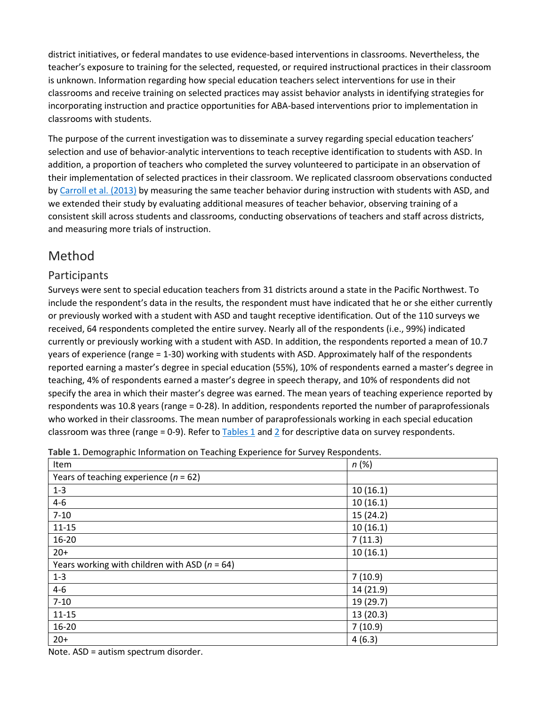district initiatives, or federal mandates to use evidence-based interventions in classrooms. Nevertheless, the teacher's exposure to training for the selected, requested, or required instructional practices in their classroom is unknown. Information regarding how special education teachers select interventions for use in their classrooms and receive training on selected practices may assist behavior analysts in identifying strategies for incorporating instruction and practice opportunities for ABA-based interventions prior to implementation in classrooms with students.

The purpose of the current investigation was to disseminate a survey regarding special education teachers' selection and use of behavior-analytic interventions to teach receptive identification to students with ASD. In addition, a proportion of teachers who completed the survey volunteered to participate in an observation of their implementation of selected practices in their classroom. We replicated classroom observations conducted by [Carroll et al. \(2013\)](https://0-journals-sagepub-com.libus.csd.mu.edu/doi/full/10.1177/0145445517692081) by measuring the same teacher behavior during instruction with students with ASD, and we extended their study by evaluating additional measures of teacher behavior, observing training of a consistent skill across students and classrooms, conducting observations of teachers and staff across districts, and measuring more trials of instruction.

## Method

#### Participants

Surveys were sent to special education teachers from 31 districts around a state in the Pacific Northwest. To include the respondent's data in the results, the respondent must have indicated that he or she either currently or previously worked with a student with ASD and taught receptive identification. Out of the 110 surveys we received, 64 respondents completed the entire survey. Nearly all of the respondents (i.e., 99%) indicated currently or previously working with a student with ASD. In addition, the respondents reported a mean of 10.7 years of experience (range = 1-30) working with students with ASD. Approximately half of the respondents reported earning a master's degree in special education (55%), 10% of respondents earned a master's degree in teaching, 4% of respondents earned a master's degree in speech therapy, and 10% of respondents did not specify the area in which their master's degree was earned. The mean years of teaching experience reported by respondents was 10.8 years (range = 0-28). In addition, respondents reported the number of paraprofessionals who worked in their classrooms. The mean number of paraprofessionals working in each special education classroom was three (range =  $0-9$ ). Refer to [Tables 1](https://0-journals-sagepub-com.libus.csd.mu.edu/doi/full/10.1177/0145445517692081) and [2](https://0-journals-sagepub-com.libus.csd.mu.edu/doi/full/10.1177/0145445517692081) for descriptive data on survey respondents.

| Item                                              | n(%)      |
|---------------------------------------------------|-----------|
| Years of teaching experience ( $n = 62$ )         |           |
| $1 - 3$                                           | 10(16.1)  |
| $4 - 6$                                           | 10(16.1)  |
| $7 - 10$                                          | 15 (24.2) |
| $11 - 15$                                         | 10(16.1)  |
| 16-20                                             | 7(11.3)   |
| $20+$                                             | 10(16.1)  |
| Years working with children with ASD ( $n = 64$ ) |           |
| $1 - 3$                                           | 7(10.9)   |
| $4 - 6$                                           | 14 (21.9) |
| $7 - 10$                                          | 19 (29.7) |
| $11 - 15$                                         | 13(20.3)  |
| 16-20                                             | 7(10.9)   |
| $20+$                                             | 4(6.3)    |

**Table 1.** Demographic Information on Teaching Experience for Survey Respondents.

Note. ASD = autism spectrum disorder.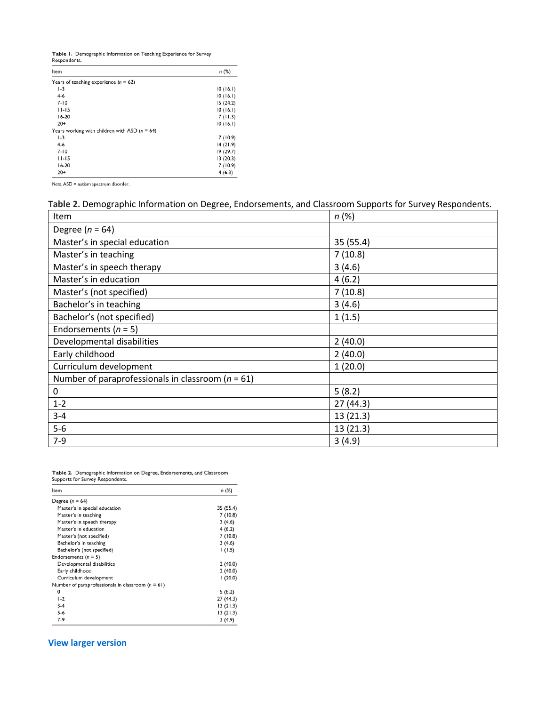Table 1. Demographic Information on Teaching Experience for Survey Respondents.

| Item                                              | n(%)      |
|---------------------------------------------------|-----------|
| Years of teaching experience $(n = 62)$           |           |
| $1-3$                                             | 10(16.1)  |
| $4 - 6$                                           | 10(16.1)  |
| $7 - 10$                                          | 15 (24.2) |
| $11 - 15$                                         | 10(16.1)  |
| $16 - 20$                                         | 7(11.3)   |
| $20+$                                             | 10(16.1)  |
| Years working with children with ASD ( $n = 64$ ) |           |
| $1-3$                                             | 7(10.9)   |
| $4 - 6$                                           | 14 (21.9) |
| $7 - 10$                                          | 19 (29.7) |
| $11 - 15$                                         | 13(20.3)  |
| $16 - 20$                                         | 7(10.9)   |
| $20+$                                             | 4(6.3)    |

Note.  $ASD =$  autism spectrum disorder.

**Table 2.** Demographic Information on Degree, Endorsements, and Classroom Supports for Survey Respondents.

| Item                                                  | n(%)      |
|-------------------------------------------------------|-----------|
| Degree ( $n = 64$ )                                   |           |
| Master's in special education                         | 35 (55.4) |
| Master's in teaching                                  | 7(10.8)   |
| Master's in speech therapy                            | 3(4.6)    |
| Master's in education                                 | 4(6.2)    |
| Master's (not specified)                              | 7(10.8)   |
| Bachelor's in teaching                                | 3(4.6)    |
| Bachelor's (not specified)                            | 1(1.5)    |
| Endorsements ( $n = 5$ )                              |           |
| Developmental disabilities                            | 2(40.0)   |
| Early childhood                                       | 2(40.0)   |
| Curriculum development                                | 1(20.0)   |
| Number of paraprofessionals in classroom ( $n = 61$ ) |           |
| 0                                                     | 5(8.2)    |
| $1 - 2$                                               | 27(44.3)  |
| $3 - 4$                                               | 13(21.3)  |
| $5-6$                                                 | 13(21.3)  |
| $7-9$                                                 | 3(4.9)    |

Table 2. Demographic Information on Degree, Endorsements, and Classroom<br>Supports for Survey Respondents.

| Item                                                | $n$ (%)   |
|-----------------------------------------------------|-----------|
| Degree $(n = 64)$                                   |           |
| Master's in special education                       | 35 (55.4) |
| Master's in teaching                                | 7(10.8)   |
| Master's in speech therapy                          | 3(4.6)    |
| Master's in education                               | 4(6.2)    |
| Master's (not specified)                            | 7(10.8)   |
| Bachelor's in teaching                              | 3(4.6)    |
| Bachelor's (not specified)                          | 1(1.5)    |
| Endorsements $(n = 5)$                              |           |
| Developmental disabilities                          | 2(40.0)   |
| Early childhood                                     | 2(40.0)   |
| Curriculum development                              | (20.0)    |
| Number of paraprofessionals in classroom $(n = 61)$ |           |
| 0                                                   | 5(8.2)    |
| $1-2$                                               | 27(44.3)  |
| $3 - 4$                                             | 13(21.3)  |
| $5 - 6$                                             | 13(21.3)  |
| $7-9$                                               | 3(4.9)    |

#### **[View larger version](https://0-journals-sagepub-com.libus.csd.mu.edu/na101/home/literatum/publisher/sage/journals/content/bmoa/2018/bmoa_42_1/0145445517692081/20171201/images/large/10.1177_0145445517692081-table2.jpeg)**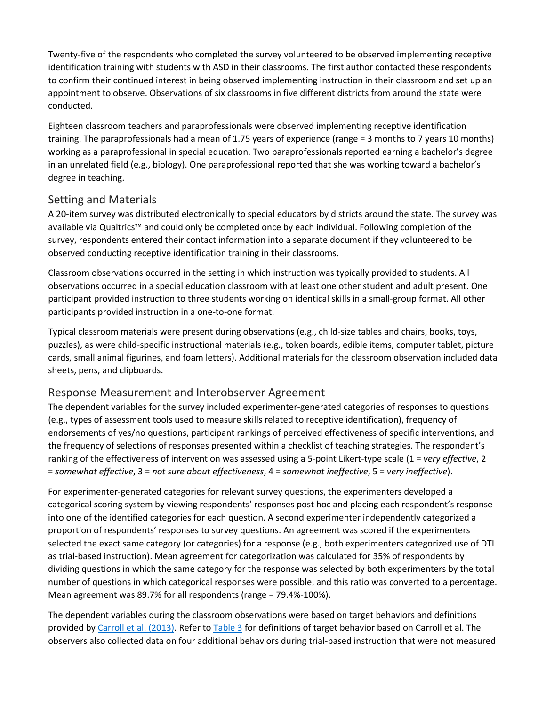Twenty-five of the respondents who completed the survey volunteered to be observed implementing receptive identification training with students with ASD in their classrooms. The first author contacted these respondents to confirm their continued interest in being observed implementing instruction in their classroom and set up an appointment to observe. Observations of six classrooms in five different districts from around the state were conducted.

Eighteen classroom teachers and paraprofessionals were observed implementing receptive identification training. The paraprofessionals had a mean of 1.75 years of experience (range = 3 months to 7 years 10 months) working as a paraprofessional in special education. Two paraprofessionals reported earning a bachelor's degree in an unrelated field (e.g., biology). One paraprofessional reported that she was working toward a bachelor's degree in teaching.

#### Setting and Materials

A 20-item survey was distributed electronically to special educators by districts around the state. The survey was available via Qualtrics™ and could only be completed once by each individual. Following completion of the survey, respondents entered their contact information into a separate document if they volunteered to be observed conducting receptive identification training in their classrooms.

Classroom observations occurred in the setting in which instruction was typically provided to students. All observations occurred in a special education classroom with at least one other student and adult present. One participant provided instruction to three students working on identical skills in a small-group format. All other participants provided instruction in a one-to-one format.

Typical classroom materials were present during observations (e.g., child-size tables and chairs, books, toys, puzzles), as were child-specific instructional materials (e.g., token boards, edible items, computer tablet, picture cards, small animal figurines, and foam letters). Additional materials for the classroom observation included data sheets, pens, and clipboards.

#### Response Measurement and Interobserver Agreement

The dependent variables for the survey included experimenter-generated categories of responses to questions (e.g., types of assessment tools used to measure skills related to receptive identification), frequency of endorsements of yes/no questions, participant rankings of perceived effectiveness of specific interventions, and the frequency of selections of responses presented within a checklist of teaching strategies. The respondent's ranking of the effectiveness of intervention was assessed using a 5-point Likert-type scale (1 = *very effective*, 2 = *somewhat effective*, 3 = *not sure about effectiveness*, 4 = *somewhat ineffective*, 5 = *very ineffective*).

For experimenter-generated categories for relevant survey questions, the experimenters developed a categorical scoring system by viewing respondents' responses post hoc and placing each respondent's response into one of the identified categories for each question. A second experimenter independently categorized a proportion of respondents' responses to survey questions. An agreement was scored if the experimenters selected the exact same category (or categories) for a response (e.g., both experimenters categorized use of DTI as trial-based instruction). Mean agreement for categorization was calculated for 35% of respondents by dividing questions in which the same category for the response was selected by both experimenters by the total number of questions in which categorical responses were possible, and this ratio was converted to a percentage. Mean agreement was 89.7% for all respondents (range = 79.4%-100%).

The dependent variables during the classroom observations were based on target behaviors and definitions provided by [Carroll et al. \(2013\).](https://0-journals-sagepub-com.libus.csd.mu.edu/doi/full/10.1177/0145445517692081) Refer to [Table 3](https://0-journals-sagepub-com.libus.csd.mu.edu/doi/full/10.1177/0145445517692081) for definitions of target behavior based on Carroll et al. The observers also collected data on four additional behaviors during trial-based instruction that were not measured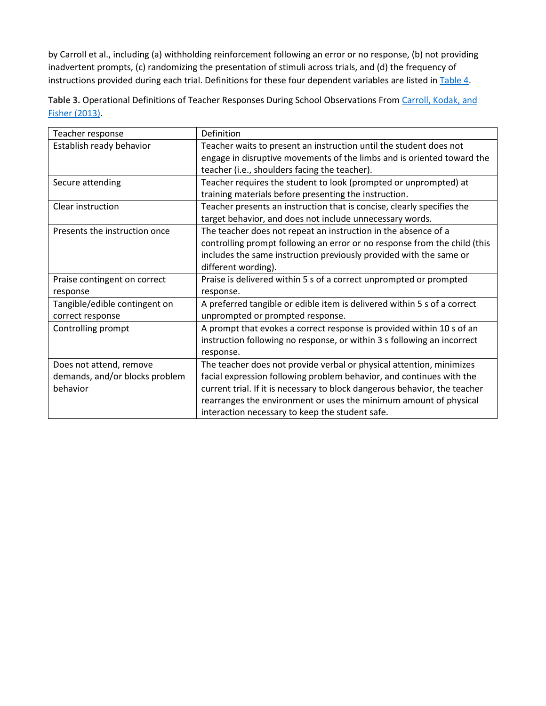by Carroll et al., including (a) withholding reinforcement following an error or no response, (b) not providing inadvertent prompts, (c) randomizing the presentation of stimuli across trials, and (d) the frequency of instructions provided during each trial. Definitions for these four dependent variables are listed in [Table 4.](https://0-journals-sagepub-com.libus.csd.mu.edu/doi/full/10.1177/0145445517692081)

| Table 3. Operational Definitions of Teacher Responses During School Observations From Carroll, Kodak, and |  |
|-----------------------------------------------------------------------------------------------------------|--|
| Fisher (2013).                                                                                            |  |

| Teacher response               | Definition                                                                 |
|--------------------------------|----------------------------------------------------------------------------|
| Establish ready behavior       | Teacher waits to present an instruction until the student does not         |
|                                | engage in disruptive movements of the limbs and is oriented toward the     |
|                                | teacher (i.e., shoulders facing the teacher).                              |
| Secure attending               | Teacher requires the student to look (prompted or unprompted) at           |
|                                | training materials before presenting the instruction.                      |
| Clear instruction              | Teacher presents an instruction that is concise, clearly specifies the     |
|                                | target behavior, and does not include unnecessary words.                   |
| Presents the instruction once  | The teacher does not repeat an instruction in the absence of a             |
|                                | controlling prompt following an error or no response from the child (this  |
|                                | includes the same instruction previously provided with the same or         |
|                                | different wording).                                                        |
| Praise contingent on correct   | Praise is delivered within 5 s of a correct unprompted or prompted         |
| response                       | response.                                                                  |
| Tangible/edible contingent on  | A preferred tangible or edible item is delivered within 5 s of a correct   |
| correct response               | unprompted or prompted response.                                           |
| Controlling prompt             | A prompt that evokes a correct response is provided within 10 s of an      |
|                                | instruction following no response, or within 3 s following an incorrect    |
|                                | response.                                                                  |
| Does not attend, remove        | The teacher does not provide verbal or physical attention, minimizes       |
| demands, and/or blocks problem | facial expression following problem behavior, and continues with the       |
| behavior                       | current trial. If it is necessary to block dangerous behavior, the teacher |
|                                | rearranges the environment or uses the minimum amount of physical          |
|                                | interaction necessary to keep the student safe.                            |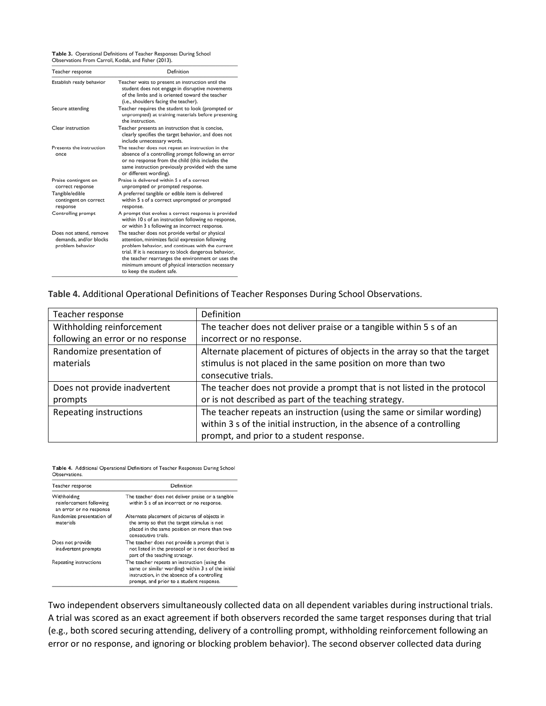Table 3. Operational Definitions of Teacher Responses During School Observations From Carroll, Kodak, and Fisher (2013).

| Teacher response                                                      | Definition<br>Teacher waits to present an instruction until the<br>student does not engage in disruptive movements<br>of the limbs and is oriented toward the teacher<br>(i.e., shoulders facing the teacher).                                                                                                                                           |  |  |  |  |
|-----------------------------------------------------------------------|----------------------------------------------------------------------------------------------------------------------------------------------------------------------------------------------------------------------------------------------------------------------------------------------------------------------------------------------------------|--|--|--|--|
| Establish ready behavior                                              |                                                                                                                                                                                                                                                                                                                                                          |  |  |  |  |
| Secure attending                                                      | Teacher requires the student to look (prompted or<br>unprompted) at training materials before presenting<br>the instruction.                                                                                                                                                                                                                             |  |  |  |  |
| Clear instruction                                                     | Teacher presents an instruction that is concise,<br>clearly specifies the target behavior, and does not<br>include unnecessary words.                                                                                                                                                                                                                    |  |  |  |  |
| Presents the instruction<br>once                                      | The teacher does not repeat an instruction in the<br>absence of a controlling prompt following an error<br>or no response from the child (this includes the<br>same instruction previously provided with the same<br>or different wording).                                                                                                              |  |  |  |  |
| Praise contingent on<br>correct response                              | Praise is delivered within 5 s of a correct<br>unprompted or prompted response.                                                                                                                                                                                                                                                                          |  |  |  |  |
| Tangible/edible<br>contingent on correct<br>response                  | A preferred tangible or edible item is delivered<br>within 5 s of a correct unprompted or prompted<br>response.                                                                                                                                                                                                                                          |  |  |  |  |
| Controlling prompt                                                    | A prompt that evokes a correct response is provided<br>within 10 s of an instruction following no response,<br>or within 3 s following an incorrect response.                                                                                                                                                                                            |  |  |  |  |
| Does not attend, remove<br>demands, and/or blocks<br>problem behavior | The teacher does not provide verbal or physical<br>attention, minimizes facial expression following<br>problem behavior, and continues with the current<br>trial. If it is necessary to block dangerous behavior,<br>the teacher rearranges the environment or uses the<br>minimum amount of physical interaction necessary<br>to keep the student safe. |  |  |  |  |

**Table 4.** Additional Operational Definitions of Teacher Responses During School Observations.

| Teacher response                  | Definition                                                                 |
|-----------------------------------|----------------------------------------------------------------------------|
| Withholding reinforcement         | The teacher does not deliver praise or a tangible within 5 s of an         |
| following an error or no response | incorrect or no response.                                                  |
| Randomize presentation of         | Alternate placement of pictures of objects in the array so that the target |
| materials                         | stimulus is not placed in the same position on more than two               |
|                                   | consecutive trials.                                                        |
| Does not provide inadvertent      | The teacher does not provide a prompt that is not listed in the protocol   |
| prompts                           | or is not described as part of the teaching strategy.                      |
| Repeating instructions            | The teacher repeats an instruction (using the same or similar wording)     |
|                                   | within 3 s of the initial instruction, in the absence of a controlling     |
|                                   | prompt, and prior to a student response.                                   |

Table 4. Additional Operational Definitions of Teacher Responses During School Observations

| Teacher response                                                  | Definition                                                                                                                                                                                      |  |  |  |
|-------------------------------------------------------------------|-------------------------------------------------------------------------------------------------------------------------------------------------------------------------------------------------|--|--|--|
| Withholding<br>reinforcement following<br>an error or no response | The teacher does not deliver praise or a tangible<br>within 5 s of an incorrect or no response.                                                                                                 |  |  |  |
| Randomize presentation of<br>materials                            | Alternate placement of pictures of objects in<br>the array so that the target stimulus is not<br>placed in the same position on more than two<br>consecutive trials.                            |  |  |  |
| Does not provide<br>inadvertent prompts                           | The teacher does not provide a prompt that is<br>not listed in the protocol or is not described as<br>part of the teaching strategy.                                                            |  |  |  |
| Repeating instructions                                            | The teacher repeats an instruction (using the<br>same or similar wording) within 3 s of the initial<br>instruction, in the absence of a controlling<br>prompt, and prior to a student response. |  |  |  |

Two independent observers simultaneously collected data on all dependent variables during instructional trials. A trial was scored as an exact agreement if both observers recorded the same target responses during that trial (e.g., both scored securing attending, delivery of a controlling prompt, withholding reinforcement following an error or no response, and ignoring or blocking problem behavior). The second observer collected data during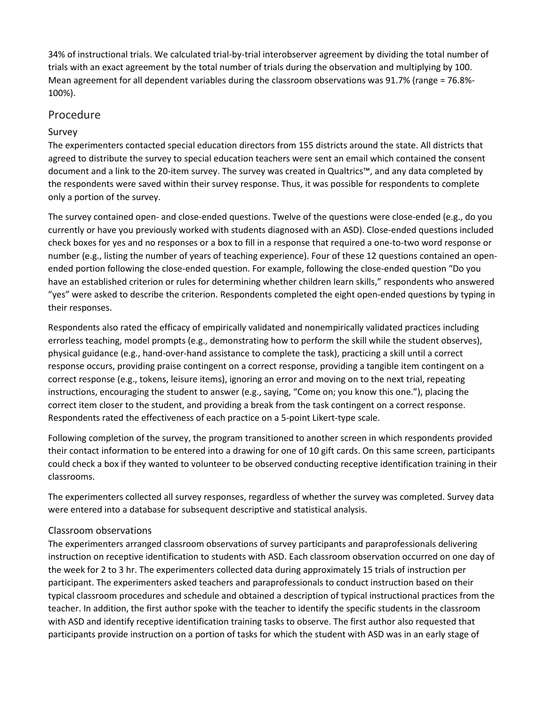34% of instructional trials. We calculated trial-by-trial interobserver agreement by dividing the total number of trials with an exact agreement by the total number of trials during the observation and multiplying by 100. Mean agreement for all dependent variables during the classroom observations was 91.7% (range = 76.8%- 100%).

#### Procedure

#### Survey

The experimenters contacted special education directors from 155 districts around the state. All districts that agreed to distribute the survey to special education teachers were sent an email which contained the consent document and a link to the 20-item survey. The survey was created in Qualtrics™, and any data completed by the respondents were saved within their survey response. Thus, it was possible for respondents to complete only a portion of the survey.

The survey contained open- and close-ended questions. Twelve of the questions were close-ended (e.g., do you currently or have you previously worked with students diagnosed with an ASD). Close-ended questions included check boxes for yes and no responses or a box to fill in a response that required a one-to-two word response or number (e.g., listing the number of years of teaching experience). Four of these 12 questions contained an openended portion following the close-ended question. For example, following the close-ended question "Do you have an established criterion or rules for determining whether children learn skills," respondents who answered "yes" were asked to describe the criterion. Respondents completed the eight open-ended questions by typing in their responses.

Respondents also rated the efficacy of empirically validated and nonempirically validated practices including errorless teaching, model prompts (e.g., demonstrating how to perform the skill while the student observes), physical guidance (e.g., hand-over-hand assistance to complete the task), practicing a skill until a correct response occurs, providing praise contingent on a correct response, providing a tangible item contingent on a correct response (e.g., tokens, leisure items), ignoring an error and moving on to the next trial, repeating instructions, encouraging the student to answer (e.g., saying, "Come on; you know this one."), placing the correct item closer to the student, and providing a break from the task contingent on a correct response. Respondents rated the effectiveness of each practice on a 5-point Likert-type scale.

Following completion of the survey, the program transitioned to another screen in which respondents provided their contact information to be entered into a drawing for one of 10 gift cards. On this same screen, participants could check a box if they wanted to volunteer to be observed conducting receptive identification training in their classrooms.

The experimenters collected all survey responses, regardless of whether the survey was completed. Survey data were entered into a database for subsequent descriptive and statistical analysis.

#### Classroom observations

The experimenters arranged classroom observations of survey participants and paraprofessionals delivering instruction on receptive identification to students with ASD. Each classroom observation occurred on one day of the week for 2 to 3 hr. The experimenters collected data during approximately 15 trials of instruction per participant. The experimenters asked teachers and paraprofessionals to conduct instruction based on their typical classroom procedures and schedule and obtained a description of typical instructional practices from the teacher. In addition, the first author spoke with the teacher to identify the specific students in the classroom with ASD and identify receptive identification training tasks to observe. The first author also requested that participants provide instruction on a portion of tasks for which the student with ASD was in an early stage of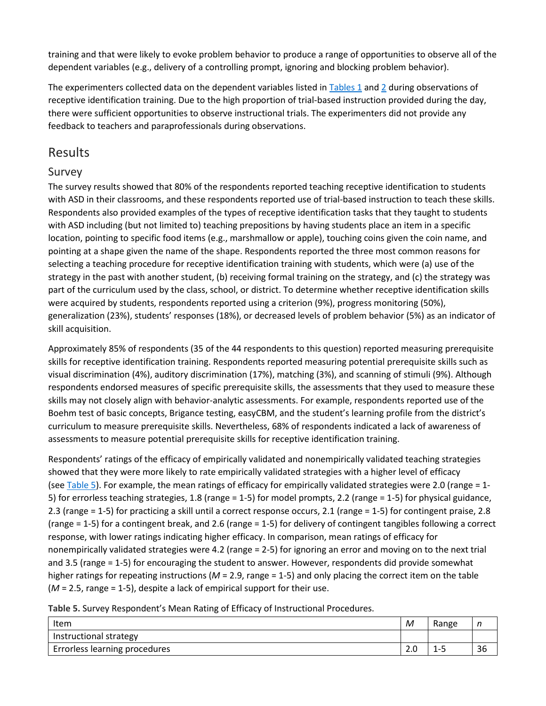training and that were likely to evoke problem behavior to produce a range of opportunities to observe all of the dependent variables (e.g., delivery of a controlling prompt, ignoring and blocking problem behavior).

The experimenters collected data on the dependent variables listed in [Tables 1](https://0-journals-sagepub-com.libus.csd.mu.edu/doi/full/10.1177/0145445517692081) and [2](https://0-journals-sagepub-com.libus.csd.mu.edu/doi/full/10.1177/0145445517692081) during observations of receptive identification training. Due to the high proportion of trial-based instruction provided during the day, there were sufficient opportunities to observe instructional trials. The experimenters did not provide any feedback to teachers and paraprofessionals during observations.

## Results

#### Survey

The survey results showed that 80% of the respondents reported teaching receptive identification to students with ASD in their classrooms, and these respondents reported use of trial-based instruction to teach these skills. Respondents also provided examples of the types of receptive identification tasks that they taught to students with ASD including (but not limited to) teaching prepositions by having students place an item in a specific location, pointing to specific food items (e.g., marshmallow or apple), touching coins given the coin name, and pointing at a shape given the name of the shape. Respondents reported the three most common reasons for selecting a teaching procedure for receptive identification training with students, which were (a) use of the strategy in the past with another student, (b) receiving formal training on the strategy, and (c) the strategy was part of the curriculum used by the class, school, or district. To determine whether receptive identification skills were acquired by students, respondents reported using a criterion (9%), progress monitoring (50%), generalization (23%), students' responses (18%), or decreased levels of problem behavior (5%) as an indicator of skill acquisition.

Approximately 85% of respondents (35 of the 44 respondents to this question) reported measuring prerequisite skills for receptive identification training. Respondents reported measuring potential prerequisite skills such as visual discrimination (4%), auditory discrimination (17%), matching (3%), and scanning of stimuli (9%). Although respondents endorsed measures of specific prerequisite skills, the assessments that they used to measure these skills may not closely align with behavior-analytic assessments. For example, respondents reported use of the Boehm test of basic concepts, Brigance testing, easyCBM, and the student's learning profile from the district's curriculum to measure prerequisite skills. Nevertheless, 68% of respondents indicated a lack of awareness of assessments to measure potential prerequisite skills for receptive identification training.

Respondents' ratings of the efficacy of empirically validated and nonempirically validated teaching strategies showed that they were more likely to rate empirically validated strategies with a higher level of efficacy (see  $Table 5$ ). For example, the mean ratings of efficacy for empirically validated strategies were 2.0 (range = 1-5) for errorless teaching strategies, 1.8 (range = 1-5) for model prompts, 2.2 (range = 1-5) for physical guidance, 2.3 (range = 1-5) for practicing a skill until a correct response occurs, 2.1 (range = 1-5) for contingent praise, 2.8 (range = 1-5) for a contingent break, and 2.6 (range = 1-5) for delivery of contingent tangibles following a correct response, with lower ratings indicating higher efficacy. In comparison, mean ratings of efficacy for nonempirically validated strategies were 4.2 (range = 2-5) for ignoring an error and moving on to the next trial and 3.5 (range = 1-5) for encouraging the student to answer. However, respondents did provide somewhat higher ratings for repeating instructions (*M* = 2.9, range = 1-5) and only placing the correct item on the table (*M* = 2.5, range = 1-5), despite a lack of empirical support for their use.

**Table 5.** Survey Respondent's Mean Rating of Efficacy of Instructional Procedures.

| Item                          | M   | Range   |    |
|-------------------------------|-----|---------|----|
| Instructional strategy        |     |         |    |
| Errorless learning procedures | z.u | $1 - 5$ | 36 |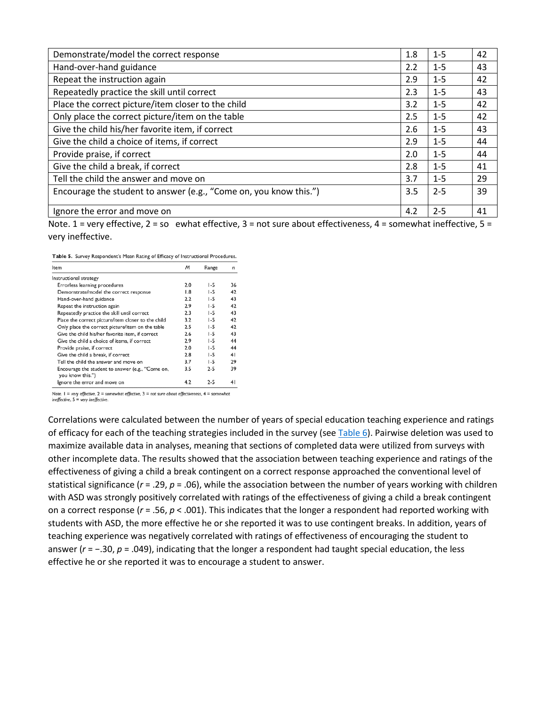| Demonstrate/model the correct response                            | 1.8 | $1 - 5$ | 42 |
|-------------------------------------------------------------------|-----|---------|----|
| Hand-over-hand guidance                                           | 2.2 | $1 - 5$ | 43 |
| Repeat the instruction again                                      | 2.9 | $1 - 5$ | 42 |
| Repeatedly practice the skill until correct                       | 2.3 | $1 - 5$ | 43 |
| Place the correct picture/item closer to the child                | 3.2 | $1 - 5$ | 42 |
| Only place the correct picture/item on the table                  | 2.5 | $1 - 5$ | 42 |
| Give the child his/her favorite item, if correct                  | 2.6 | $1 - 5$ | 43 |
| Give the child a choice of items, if correct                      | 2.9 | $1 - 5$ | 44 |
| Provide praise, if correct                                        | 2.0 | $1 - 5$ | 44 |
| Give the child a break, if correct                                | 2.8 | $1 - 5$ | 41 |
| Tell the child the answer and move on                             | 3.7 | $1 - 5$ | 29 |
| Encourage the student to answer (e.g., "Come on, you know this.") | 3.5 | $2 - 5$ | 39 |
| Ignore the error and move on                                      | 4.2 | $2 - 5$ | 41 |

Note. 1 = very effective, 2 = so ewhat effective, 3 = not sure about effectiveness, 4 = somewhat ineffective, 5 = very ineffective.

|  |  | Table 5. Survey Respondent's Mean Rating of Efficacy of Instructional Procedures. |  |  |  |  |  |  |
|--|--|-----------------------------------------------------------------------------------|--|--|--|--|--|--|
|--|--|-----------------------------------------------------------------------------------|--|--|--|--|--|--|

| Item                                                                 | M   | Range   | n  |
|----------------------------------------------------------------------|-----|---------|----|
| Instructional strategy                                               |     |         |    |
| Errorless learning procedures                                        | 2.0 | $1-5$   | 36 |
| Demonstrate/model the correct response                               | 1.8 | $1-5$   | 42 |
| Hand-over-hand guidance                                              | 2.2 | $1 - 5$ | 43 |
| Repeat the instruction again                                         | 2.9 | $1 - 5$ | 42 |
| Repeatedly practice the skill until correct                          | 2.3 | $1 - 5$ | 43 |
| Place the correct picture/item closer to the child                   | 3.2 | $1 - 5$ | 42 |
| Only place the correct picture/item on the table                     | 2.5 | $1 - 5$ | 42 |
| Give the child his/her favorite item, if correct                     | 2.6 | $1 - 5$ | 43 |
| Give the child a choice of items, if correct                         | 2.9 | $1-5$   | 44 |
| Provide praise, if correct                                           | 2.0 | $1-5$   | 44 |
| Give the child a break, if correct                                   | 2.8 | $1-5$   | 41 |
| Tell the child the answer and move on                                | 3.7 | $1-5$   | 29 |
| Encourage the student to answer (e.g., "Come on,<br>you know this.") | 3.5 | $2 - 5$ | 39 |
| Ignore the error and move on                                         | 4.2 | $2 - 5$ | 41 |

Note.  $I = \text{very effective}, 2 = \text{somewhat effective}, 3 = \text{not sure about effectiveness}, 4 = \text{somewhat}$ 

ineffective,  $5 = \text{very}$  ineffective.

Correlations were calculated between the number of years of special education teaching experience and ratings of efficacy for each of the teaching strategies included in the survey (see [Table 6\)](https://0-journals-sagepub-com.libus.csd.mu.edu/doi/full/10.1177/0145445517692081). Pairwise deletion was used to maximize available data in analyses, meaning that sections of completed data were utilized from surveys with other incomplete data. The results showed that the association between teaching experience and ratings of the effectiveness of giving a child a break contingent on a correct response approached the conventional level of statistical significance (*r* = .29, *p* = .06), while the association between the number of years working with children with ASD was strongly positively correlated with ratings of the effectiveness of giving a child a break contingent on a correct response (*r* = .56, *p* < .001). This indicates that the longer a respondent had reported working with students with ASD, the more effective he or she reported it was to use contingent breaks. In addition, years of teaching experience was negatively correlated with ratings of effectiveness of encouraging the student to answer (*r* = −.30, *p* = .049), indicating that the longer a respondent had taught special education, the less effective he or she reported it was to encourage a student to answer.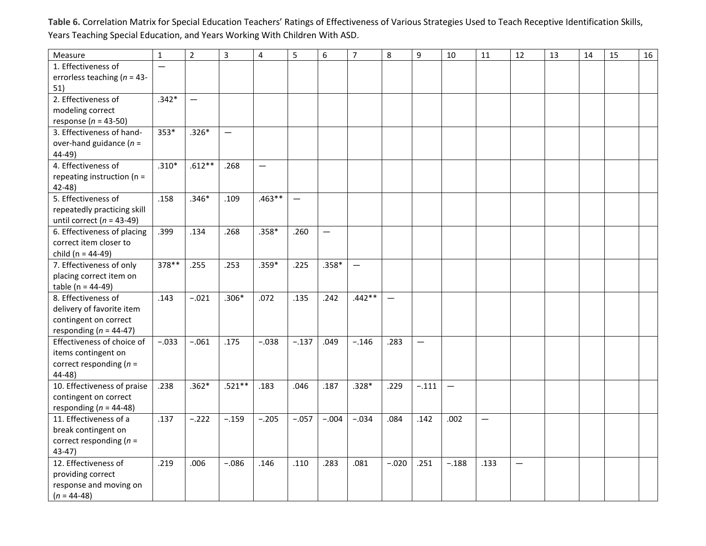**Table 6.** Correlation Matrix for Special Education Teachers' Ratings of Effectiveness of Various Strategies Used to Teach Receptive Identification Skills, Years Teaching Special Education, and Years Working With Children With ASD.

| Measure                         | $1\,$   | $\overline{2}$           | $\overline{3}$           | $\overline{4}$ | 5       | 6                        | $\overline{7}$           | 8                        | 9       | 10                       | 11              | 12                | 13 | 14 | 15 | 16 |
|---------------------------------|---------|--------------------------|--------------------------|----------------|---------|--------------------------|--------------------------|--------------------------|---------|--------------------------|-----------------|-------------------|----|----|----|----|
| 1. Effectiveness of             |         |                          |                          |                |         |                          |                          |                          |         |                          |                 |                   |    |    |    |    |
| errorless teaching ( $n = 43$ - |         |                          |                          |                |         |                          |                          |                          |         |                          |                 |                   |    |    |    |    |
| 51)                             |         |                          |                          |                |         |                          |                          |                          |         |                          |                 |                   |    |    |    |    |
| 2. Effectiveness of             | $.342*$ | $\overline{\phantom{0}}$ |                          |                |         |                          |                          |                          |         |                          |                 |                   |    |    |    |    |
| modeling correct                |         |                          |                          |                |         |                          |                          |                          |         |                          |                 |                   |    |    |    |    |
| response ( $n = 43-50$ )        |         |                          |                          |                |         |                          |                          |                          |         |                          |                 |                   |    |    |    |    |
| 3. Effectiveness of hand-       | 353*    | $.326*$                  | $\overline{\phantom{0}}$ |                |         |                          |                          |                          |         |                          |                 |                   |    |    |    |    |
| over-hand guidance ( $n =$      |         |                          |                          |                |         |                          |                          |                          |         |                          |                 |                   |    |    |    |    |
| 44-49)                          |         |                          |                          |                |         |                          |                          |                          |         |                          |                 |                   |    |    |    |    |
| 4. Effectiveness of             | $.310*$ | $.612**$                 | .268                     |                |         |                          |                          |                          |         |                          |                 |                   |    |    |    |    |
| repeating instruction ( $n =$   |         |                          |                          |                |         |                          |                          |                          |         |                          |                 |                   |    |    |    |    |
| $42 - 48$                       |         |                          |                          |                |         |                          |                          |                          |         |                          |                 |                   |    |    |    |    |
| 5. Effectiveness of             | .158    | $.346*$                  | .109                     | $.463**$       |         |                          |                          |                          |         |                          |                 |                   |    |    |    |    |
| repeatedly practicing skill     |         |                          |                          |                |         |                          |                          |                          |         |                          |                 |                   |    |    |    |    |
| until correct ( $n = 43-49$ )   |         |                          |                          |                |         |                          |                          |                          |         |                          |                 |                   |    |    |    |    |
| 6. Effectiveness of placing     | .399    | .134                     | .268                     | $.358*$        | .260    | $\overline{\phantom{0}}$ |                          |                          |         |                          |                 |                   |    |    |    |    |
| correct item closer to          |         |                          |                          |                |         |                          |                          |                          |         |                          |                 |                   |    |    |    |    |
| child ( $n = 44-49$ )           |         |                          |                          |                |         |                          |                          |                          |         |                          |                 |                   |    |    |    |    |
| 7. Effectiveness of only        | 378 **  | .255                     | .253                     | $.359*$        | .225    | $.358*$                  | $\overline{\phantom{m}}$ |                          |         |                          |                 |                   |    |    |    |    |
| placing correct item on         |         |                          |                          |                |         |                          |                          |                          |         |                          |                 |                   |    |    |    |    |
| table ( $n = 44-49$ )           |         |                          |                          |                |         |                          |                          |                          |         |                          |                 |                   |    |    |    |    |
| 8. Effectiveness of             | .143    | $-.021$                  | $.306*$                  | .072           | .135    | .242                     | $.442**$                 | $\overline{\phantom{0}}$ |         |                          |                 |                   |    |    |    |    |
| delivery of favorite item       |         |                          |                          |                |         |                          |                          |                          |         |                          |                 |                   |    |    |    |    |
| contingent on correct           |         |                          |                          |                |         |                          |                          |                          |         |                          |                 |                   |    |    |    |    |
| responding ( $n = 44-47$ )      |         |                          |                          |                |         |                          |                          |                          |         |                          |                 |                   |    |    |    |    |
| Effectiveness of choice of      | $-.033$ | $-.061$                  | .175                     | $-.038$        | $-.137$ | .049                     | $-.146$                  | .283                     |         |                          |                 |                   |    |    |    |    |
| items contingent on             |         |                          |                          |                |         |                          |                          |                          |         |                          |                 |                   |    |    |    |    |
| correct responding ( $n =$      |         |                          |                          |                |         |                          |                          |                          |         |                          |                 |                   |    |    |    |    |
| $44 - 48$                       |         |                          |                          |                |         |                          |                          |                          |         |                          |                 |                   |    |    |    |    |
| 10. Effectiveness of praise     | .238    | $.362*$                  | $.521**$                 | .183           | .046    | .187                     | $.328*$                  | .229                     | $-.111$ | $\overline{\phantom{m}}$ |                 |                   |    |    |    |    |
| contingent on correct           |         |                          |                          |                |         |                          |                          |                          |         |                          |                 |                   |    |    |    |    |
| responding ( $n = 44-48$ )      |         |                          |                          |                |         |                          |                          |                          |         |                          |                 |                   |    |    |    |    |
| 11. Effectiveness of a          | .137    | $-.222$                  | $-.159$                  | $-.205$        | $-.057$ | $-.004$                  | $-.034$                  | .084                     | .142    | .002                     | $\qquad \qquad$ |                   |    |    |    |    |
| break contingent on             |         |                          |                          |                |         |                          |                          |                          |         |                          |                 |                   |    |    |    |    |
| correct responding ( $n =$      |         |                          |                          |                |         |                          |                          |                          |         |                          |                 |                   |    |    |    |    |
| $43 - 47$                       |         |                          |                          |                |         |                          |                          |                          |         |                          |                 |                   |    |    |    |    |
| 12. Effectiveness of            | .219    | .006                     | $-.086$                  | .146           | .110    | .283                     | .081                     | $-.020$                  | .251    | $-.188$                  | .133            | $\qquad \qquad -$ |    |    |    |    |
| providing correct               |         |                          |                          |                |         |                          |                          |                          |         |                          |                 |                   |    |    |    |    |
| response and moving on          |         |                          |                          |                |         |                          |                          |                          |         |                          |                 |                   |    |    |    |    |
| $(n = 44-48)$                   |         |                          |                          |                |         |                          |                          |                          |         |                          |                 |                   |    |    |    |    |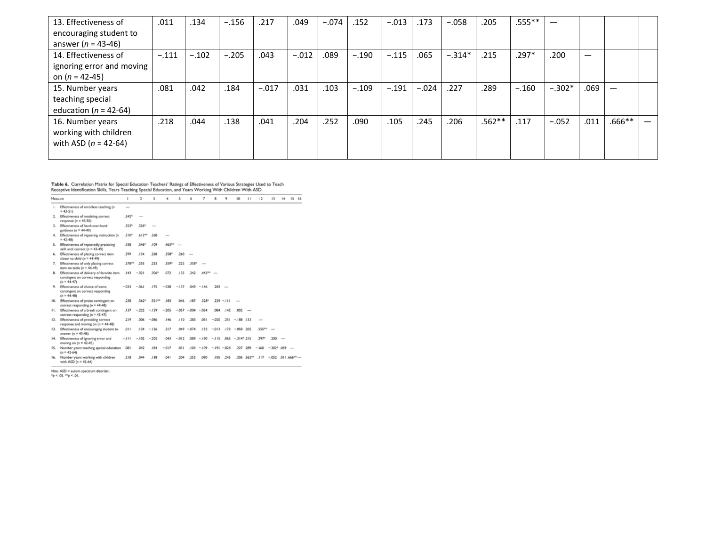| 13. Effectiveness of      | .011    | .134    | $-.156$ | .217    | .049    | $-.074$ | .152    | $-.013$ | .173    | $-.058$  | .205     | $.555***$ |          |      |                          |  |
|---------------------------|---------|---------|---------|---------|---------|---------|---------|---------|---------|----------|----------|-----------|----------|------|--------------------------|--|
| encouraging student to    |         |         |         |         |         |         |         |         |         |          |          |           |          |      |                          |  |
| answer ( $n = 43-46$ )    |         |         |         |         |         |         |         |         |         |          |          |           |          |      |                          |  |
| 14. Effectiveness of      | $-.111$ | $-.102$ | $-.205$ | .043    | $-.012$ | .089    | $-.190$ | $-.115$ | .065    | $-.314*$ | .215     | $.297*$   | .200     |      |                          |  |
| ignoring error and moving |         |         |         |         |         |         |         |         |         |          |          |           |          |      |                          |  |
| on $(n = 42-45)$          |         |         |         |         |         |         |         |         |         |          |          |           |          |      |                          |  |
| 15. Number years          | .081    | .042    | .184    | $-.017$ | .031    | .103    | $-.109$ | $-.191$ | $-.024$ | .227     | .289     | $-.160$   | $-.302*$ | .069 | $\overline{\phantom{0}}$ |  |
| teaching special          |         |         |         |         |         |         |         |         |         |          |          |           |          |      |                          |  |
| education ( $n = 42-64$ ) |         |         |         |         |         |         |         |         |         |          |          |           |          |      |                          |  |
| 16. Number years          | .218    | .044    | .138    | .041    | .204    | .252    | .090    | .105    | .245    | .206     | $.562**$ | .117      | $-.052$  | .011 | $.666**$                 |  |
| working with children     |         |         |         |         |         |         |         |         |         |          |          |           |          |      |                          |  |
| with ASD ( $n = 42-64$ )  |         |         |         |         |         |         |         |         |         |          |          |           |          |      |                          |  |
|                           |         |         |         |         |         |         |         |         |         |          |          |           |          |      |                          |  |

Table 6. Correlation Matrix for Special Education Teachers' Ratings of Effectiveness of Various Strategies Used to Teach<br>Receptive Identification Skills, Years Teaching Special Education, and Years Working With Children Wi

| Measure |                                                                                                 | ı                                                                                              | $\mathbf{r}$       |                  |        | 5       |         |         |        | 9            | 10           | н         | 12      | 13       | 14 | 15             | 6 |
|---------|-------------------------------------------------------------------------------------------------|------------------------------------------------------------------------------------------------|--------------------|------------------|--------|---------|---------|---------|--------|--------------|--------------|-----------|---------|----------|----|----------------|---|
| ι.      | Effectiveness of errorless teaching (n<br>$= 43.511$                                            | $\frac{1}{2} \left( \frac{1}{2} \right) \left( \frac{1}{2} \right) \left( \frac{1}{2} \right)$ |                    |                  |        |         |         |         |        |              |              |           |         |          |    |                |   |
| 2.      | Effectiveness of modeling correct<br>response ( $n = 43.50$ )                                   | $-342$ <sup>*</sup>                                                                            |                    |                  |        |         |         |         |        |              |              |           |         |          |    |                |   |
| з.      | Effectiveness of hand-over-hand<br>guidance (n = 44-49)                                         | $353*$                                                                                         | 326*               |                  |        |         |         |         |        |              |              |           |         |          |    |                |   |
| 4.      | Effectiveness of repeating instruction (n<br>$= 42 - 481$                                       | .310 <sup>o</sup>                                                                              | $.612***$          | .268             |        |         |         |         |        |              |              |           |         |          |    |                |   |
| 5.      | Effectiveness of repeatedly practicing<br>skill until correct (n = 43-49)                       | .158                                                                                           | 346"               | .109             | 463**  |         |         |         |        |              |              |           |         |          |    |                |   |
| 6.      | Effectiveness of placing correct item<br>closer to child ( $n = 44-49$ )                        | 399                                                                                            | .134               | 268              | .358*  | .260    |         |         |        |              |              |           |         |          |    |                |   |
| 7.      | Effectiveness of only placing correct<br>item on table ( $n = 44-49$ )                          | 378 <sup>**</sup>                                                                              | .255               | .253             | .359*  | .225    | .358*   |         |        |              |              |           |         |          |    |                |   |
| 8.      | Effectiveness of delivery of favorite item<br>contingent on correct responding<br>$(n = 44.47)$ | 143                                                                                            | $-021$             | 306 <sup>*</sup> | .072   | .135    | .242    | A42**   |        |              |              |           |         |          |    |                |   |
| 9.      | Effectiveness of choice of items<br>contingent on correct responding<br>$(n = 44.48)$           | $-033$                                                                                         | $-061$             | .175             | $-038$ | $-.137$ | 049     | $-146$  | 283    | --           |              |           |         |          |    |                |   |
| 10.     | Effectiveness of praise contingent on<br>correct responding (n = 44-48)                         | .238                                                                                           | $362$ <sup>®</sup> | $-521***$        | .183   | .046    | .187    | $.328*$ |        | $.229 - 111$ |              |           |         |          |    |                |   |
| Ш.      | Effectiveness of a break contingent on<br>correct responding ( $n = 43.47$ )                    | .137                                                                                           | $-222$             | $-.159$          | $-205$ | $-.057$ | $-004$  | $-034$  | .084   | ,142         | 002          |           |         |          |    |                |   |
| 12.     | Effectiveness of providing correct<br>response and moving on (n = 44-48)                        | .219                                                                                           | 006                | $-0.066$         | .146   | .110    | .283    | 081     | $-020$ | .251         | $-188.133$   |           |         |          |    |                |   |
| 13.     | Effectiveness of encouraging student to<br>answer (n = 43-46)                                   | 011                                                                                            | .134               | $-156$           | 217    | .049    | $-.074$ | .152    | $-013$ | .173         | $-058.205$   |           | 555**   |          |    |                |   |
| 14.     | Effectiveness of ignoring error and<br>moving on $(n = 42.45)$                                  | $-111$                                                                                         | $-.102$            | $-.205$          | .043   | $-012$  | 089     |         | -.115  | .065         | $-314" .215$ |           | $.297*$ | 300      |    |                |   |
| 15.     | Number years teaching special education<br>$(n = 42.64)$                                        | .061                                                                                           | .042               | .184             | $-017$ | .031    | .103    | $-.109$ | $-191$ | $-.024$      | .227         | .289      | $-.160$ | $-.302*$ |    |                |   |
| 16.     | Number years working with children<br>with ASD $(n = 42.64)$                                    | 218                                                                                            | 044                | $-138$           | 041    | 204     | 252     | coo     | 105    | .245         |              | 206 562** | 117     | $-052$   |    | $.011.666**$ - |   |

Note. ASD = autism spectrum disorder.<br>\*p < .05. \*\*p < .01.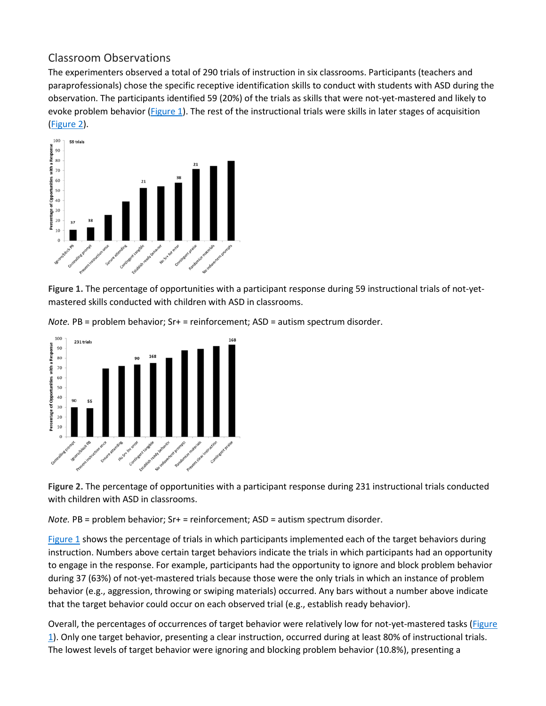### Classroom Observations

The experimenters observed a total of 290 trials of instruction in six classrooms. Participants (teachers and paraprofessionals) chose the specific receptive identification skills to conduct with students with ASD during the observation. The participants identified 59 (20%) of the trials as skills that were not-yet-mastered and likely to evoke problem behavior [\(Figure 1\)](https://0-journals-sagepub-com.libus.csd.mu.edu/doi/full/10.1177/0145445517692081). The rest of the instructional trials were skills in later stages of acquisition [\(Figure 2\)](https://0-journals-sagepub-com.libus.csd.mu.edu/doi/full/10.1177/0145445517692081).



**Figure 1.** The percentage of opportunities with a participant response during 59 instructional trials of not-yetmastered skills conducted with children with ASD in classrooms.



*Note.* PB = problem behavior; Sr+ = reinforcement; ASD = autism spectrum disorder.

**Figure 2.** The percentage of opportunities with a participant response during 231 instructional trials conducted with children with ASD in classrooms.

*Note.* PB = problem behavior; Sr+ = reinforcement; ASD = autism spectrum disorder.

[Figure 1](https://0-journals-sagepub-com.libus.csd.mu.edu/doi/full/10.1177/0145445517692081) shows the percentage of trials in which participants implemented each of the target behaviors during instruction. Numbers above certain target behaviors indicate the trials in which participants had an opportunity to engage in the response. For example, participants had the opportunity to ignore and block problem behavior during 37 (63%) of not-yet-mastered trials because those were the only trials in which an instance of problem behavior (e.g., aggression, throwing or swiping materials) occurred. Any bars without a number above indicate that the target behavior could occur on each observed trial (e.g., establish ready behavior).

Overall, the percentages of occurrences of target behavior were relatively low for not-yet-mastered tasks [\(Figure](https://0-journals-sagepub-com.libus.csd.mu.edu/doi/full/10.1177/0145445517692081)  [1\)](https://0-journals-sagepub-com.libus.csd.mu.edu/doi/full/10.1177/0145445517692081). Only one target behavior, presenting a clear instruction, occurred during at least 80% of instructional trials. The lowest levels of target behavior were ignoring and blocking problem behavior (10.8%), presenting a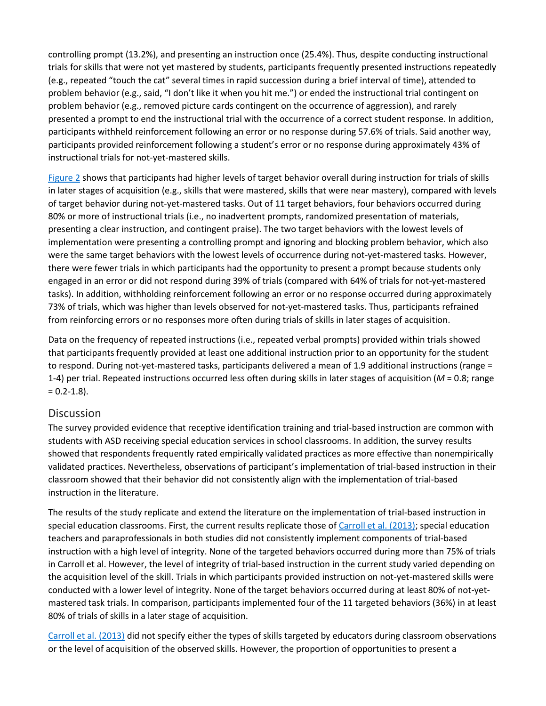controlling prompt (13.2%), and presenting an instruction once (25.4%). Thus, despite conducting instructional trials for skills that were not yet mastered by students, participants frequently presented instructions repeatedly (e.g., repeated "touch the cat" several times in rapid succession during a brief interval of time), attended to problem behavior (e.g., said, "I don't like it when you hit me.") or ended the instructional trial contingent on problem behavior (e.g., removed picture cards contingent on the occurrence of aggression), and rarely presented a prompt to end the instructional trial with the occurrence of a correct student response. In addition, participants withheld reinforcement following an error or no response during 57.6% of trials. Said another way, participants provided reinforcement following a student's error or no response during approximately 43% of instructional trials for not-yet-mastered skills.

[Figure 2](https://0-journals-sagepub-com.libus.csd.mu.edu/doi/full/10.1177/0145445517692081) shows that participants had higher levels of target behavior overall during instruction for trials of skills in later stages of acquisition (e.g., skills that were mastered, skills that were near mastery), compared with levels of target behavior during not-yet-mastered tasks. Out of 11 target behaviors, four behaviors occurred during 80% or more of instructional trials (i.e., no inadvertent prompts, randomized presentation of materials, presenting a clear instruction, and contingent praise). The two target behaviors with the lowest levels of implementation were presenting a controlling prompt and ignoring and blocking problem behavior, which also were the same target behaviors with the lowest levels of occurrence during not-yet-mastered tasks. However, there were fewer trials in which participants had the opportunity to present a prompt because students only engaged in an error or did not respond during 39% of trials (compared with 64% of trials for not-yet-mastered tasks). In addition, withholding reinforcement following an error or no response occurred during approximately 73% of trials, which was higher than levels observed for not-yet-mastered tasks. Thus, participants refrained from reinforcing errors or no responses more often during trials of skills in later stages of acquisition.

Data on the frequency of repeated instructions (i.e., repeated verbal prompts) provided within trials showed that participants frequently provided at least one additional instruction prior to an opportunity for the student to respond. During not-yet-mastered tasks, participants delivered a mean of 1.9 additional instructions (range = 1-4) per trial. Repeated instructions occurred less often during skills in later stages of acquisition (*M* = 0.8; range  $= 0.2 - 1.8$ ).

#### Discussion

The survey provided evidence that receptive identification training and trial-based instruction are common with students with ASD receiving special education services in school classrooms. In addition, the survey results showed that respondents frequently rated empirically validated practices as more effective than nonempirically validated practices. Nevertheless, observations of participant's implementation of trial-based instruction in their classroom showed that their behavior did not consistently align with the implementation of trial-based instruction in the literature.

The results of the study replicate and extend the literature on the implementation of trial-based instruction in special education classrooms. First, the current results replicate those of [Carroll et al. \(2013\);](https://0-journals-sagepub-com.libus.csd.mu.edu/doi/full/10.1177/0145445517692081) special education teachers and paraprofessionals in both studies did not consistently implement components of trial-based instruction with a high level of integrity. None of the targeted behaviors occurred during more than 75% of trials in Carroll et al. However, the level of integrity of trial-based instruction in the current study varied depending on the acquisition level of the skill. Trials in which participants provided instruction on not-yet-mastered skills were conducted with a lower level of integrity. None of the target behaviors occurred during at least 80% of not-yetmastered task trials. In comparison, participants implemented four of the 11 targeted behaviors (36%) in at least 80% of trials of skills in a later stage of acquisition.

[Carroll et al. \(2013\)](https://0-journals-sagepub-com.libus.csd.mu.edu/doi/full/10.1177/0145445517692081) did not specify either the types of skills targeted by educators during classroom observations or the level of acquisition of the observed skills. However, the proportion of opportunities to present a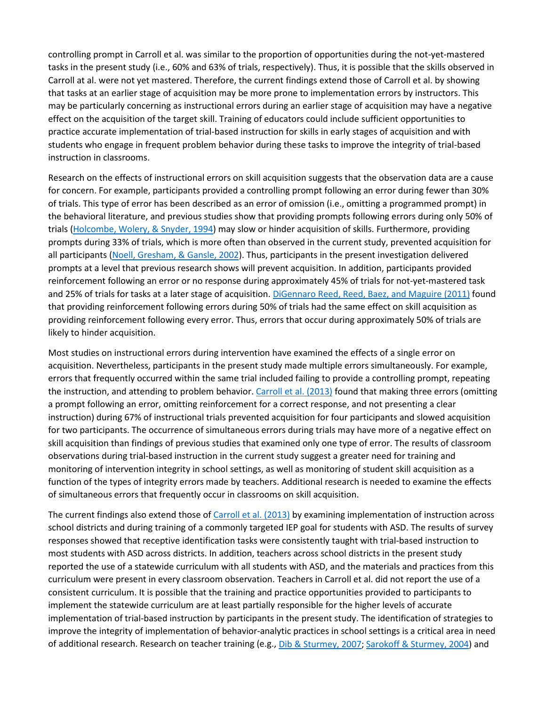controlling prompt in Carroll et al. was similar to the proportion of opportunities during the not-yet-mastered tasks in the present study (i.e., 60% and 63% of trials, respectively). Thus, it is possible that the skills observed in Carroll at al. were not yet mastered. Therefore, the current findings extend those of Carroll et al. by showing that tasks at an earlier stage of acquisition may be more prone to implementation errors by instructors. This may be particularly concerning as instructional errors during an earlier stage of acquisition may have a negative effect on the acquisition of the target skill. Training of educators could include sufficient opportunities to practice accurate implementation of trial-based instruction for skills in early stages of acquisition and with students who engage in frequent problem behavior during these tasks to improve the integrity of trial-based instruction in classrooms.

Research on the effects of instructional errors on skill acquisition suggests that the observation data are a cause for concern. For example, participants provided a controlling prompt following an error during fewer than 30% of trials. This type of error has been described as an error of omission (i.e., omitting a programmed prompt) in the behavioral literature, and previous studies show that providing prompts following errors during only 50% of trials [\(Holcombe, Wolery, & Snyder, 1994\)](https://0-journals-sagepub-com.libus.csd.mu.edu/doi/full/10.1177/0145445517692081) may slow or hinder acquisition of skills. Furthermore, providing prompts during 33% of trials, which is more often than observed in the current study, prevented acquisition for all participants [\(Noell, Gresham, & Gansle, 2002\)](https://0-journals-sagepub-com.libus.csd.mu.edu/doi/full/10.1177/0145445517692081). Thus, participants in the present investigation delivered prompts at a level that previous research shows will prevent acquisition. In addition, participants provided reinforcement following an error or no response during approximately 45% of trials for not-yet-mastered task and 25% of trials for tasks at a later stage of acquisition. [DiGennaro Reed, Reed, Baez, and Maguire \(2011\)](https://0-journals-sagepub-com.libus.csd.mu.edu/doi/full/10.1177/0145445517692081) found that providing reinforcement following errors during 50% of trials had the same effect on skill acquisition as providing reinforcement following every error. Thus, errors that occur during approximately 50% of trials are likely to hinder acquisition.

Most studies on instructional errors during intervention have examined the effects of a single error on acquisition. Nevertheless, participants in the present study made multiple errors simultaneously. For example, errors that frequently occurred within the same trial included failing to provide a controlling prompt, repeating the instruction, and attending to problem behavior. [Carroll et al. \(2013\)](https://0-journals-sagepub-com.libus.csd.mu.edu/doi/full/10.1177/0145445517692081) found that making three errors (omitting a prompt following an error, omitting reinforcement for a correct response, and not presenting a clear instruction) during 67% of instructional trials prevented acquisition for four participants and slowed acquisition for two participants. The occurrence of simultaneous errors during trials may have more of a negative effect on skill acquisition than findings of previous studies that examined only one type of error. The results of classroom observations during trial-based instruction in the current study suggest a greater need for training and monitoring of intervention integrity in school settings, as well as monitoring of student skill acquisition as a function of the types of integrity errors made by teachers. Additional research is needed to examine the effects of simultaneous errors that frequently occur in classrooms on skill acquisition.

The current findings also extend those of [Carroll et al. \(2013\)](https://0-journals-sagepub-com.libus.csd.mu.edu/doi/full/10.1177/0145445517692081) by examining implementation of instruction across school districts and during training of a commonly targeted IEP goal for students with ASD. The results of survey responses showed that receptive identification tasks were consistently taught with trial-based instruction to most students with ASD across districts. In addition, teachers across school districts in the present study reported the use of a statewide curriculum with all students with ASD, and the materials and practices from this curriculum were present in every classroom observation. Teachers in Carroll et al. did not report the use of a consistent curriculum. It is possible that the training and practice opportunities provided to participants to implement the statewide curriculum are at least partially responsible for the higher levels of accurate implementation of trial-based instruction by participants in the present study. The identification of strategies to improve the integrity of implementation of behavior-analytic practices in school settings is a critical area in need of additional research. Research on teacher training (e.g., [Dib & Sturmey, 2007;](https://0-journals-sagepub-com.libus.csd.mu.edu/doi/full/10.1177/0145445517692081) [Sarokoff & Sturmey, 2004\)](https://0-journals-sagepub-com.libus.csd.mu.edu/doi/full/10.1177/0145445517692081) and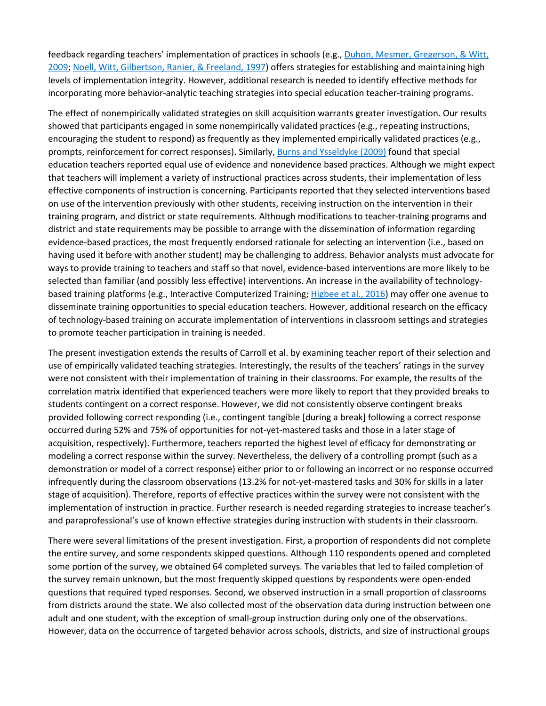feedback regarding teachers' implementation of practices in schools (e.g., Duhon, Mesmer, Gregerson, & Witt, [2009;](https://0-journals-sagepub-com.libus.csd.mu.edu/doi/full/10.1177/0145445517692081) [Noell, Witt, Gilbertson, Ranier, & Freeland, 1997\)](https://0-journals-sagepub-com.libus.csd.mu.edu/doi/full/10.1177/0145445517692081) offers strategies for establishing and maintaining high levels of implementation integrity. However, additional research is needed to identify effective methods for incorporating more behavior-analytic teaching strategies into special education teacher-training programs.

The effect of nonempirically validated strategies on skill acquisition warrants greater investigation. Our results showed that participants engaged in some nonempirically validated practices (e.g., repeating instructions, encouraging the student to respond) as frequently as they implemented empirically validated practices (e.g., prompts, reinforcement for correct responses). Similarly, [Burns and Ysseldyke \(2009\)](https://0-journals-sagepub-com.libus.csd.mu.edu/doi/full/10.1177/0145445517692081) found that special education teachers reported equal use of evidence and nonevidence based practices. Although we might expect that teachers will implement a variety of instructional practices across students, their implementation of less effective components of instruction is concerning. Participants reported that they selected interventions based on use of the intervention previously with other students, receiving instruction on the intervention in their training program, and district or state requirements. Although modifications to teacher-training programs and district and state requirements may be possible to arrange with the dissemination of information regarding evidence-based practices, the most frequently endorsed rationale for selecting an intervention (i.e., based on having used it before with another student) may be challenging to address. Behavior analysts must advocate for ways to provide training to teachers and staff so that novel, evidence-based interventions are more likely to be selected than familiar (and possibly less effective) interventions. An increase in the availability of technologybased training platforms (e.g., Interactive Computerized Training; [Higbee et al.,](https://0-journals-sagepub-com.libus.csd.mu.edu/doi/full/10.1177/0145445517692081) 2016) may offer one avenue to disseminate training opportunities to special education teachers. However, additional research on the efficacy of technology-based training on accurate implementation of interventions in classroom settings and strategies to promote teacher participation in training is needed.

The present investigation extends the results of Carroll et al. by examining teacher report of their selection and use of empirically validated teaching strategies. Interestingly, the results of the teachers' ratings in the survey were not consistent with their implementation of training in their classrooms. For example, the results of the correlation matrix identified that experienced teachers were more likely to report that they provided breaks to students contingent on a correct response. However, we did not consistently observe contingent breaks provided following correct responding (i.e., contingent tangible [during a break] following a correct response occurred during 52% and 75% of opportunities for not-yet-mastered tasks and those in a later stage of acquisition, respectively). Furthermore, teachers reported the highest level of efficacy for demonstrating or modeling a correct response within the survey. Nevertheless, the delivery of a controlling prompt (such as a demonstration or model of a correct response) either prior to or following an incorrect or no response occurred infrequently during the classroom observations (13.2% for not-yet-mastered tasks and 30% for skills in a later stage of acquisition). Therefore, reports of effective practices within the survey were not consistent with the implementation of instruction in practice. Further research is needed regarding strategies to increase teacher's and paraprofessional's use of known effective strategies during instruction with students in their classroom.

There were several limitations of the present investigation. First, a proportion of respondents did not complete the entire survey, and some respondents skipped questions. Although 110 respondents opened and completed some portion of the survey, we obtained 64 completed surveys. The variables that led to failed completion of the survey remain unknown, but the most frequently skipped questions by respondents were open-ended questions that required typed responses. Second, we observed instruction in a small proportion of classrooms from districts around the state. We also collected most of the observation data during instruction between one adult and one student, with the exception of small-group instruction during only one of the observations. However, data on the occurrence of targeted behavior across schools, districts, and size of instructional groups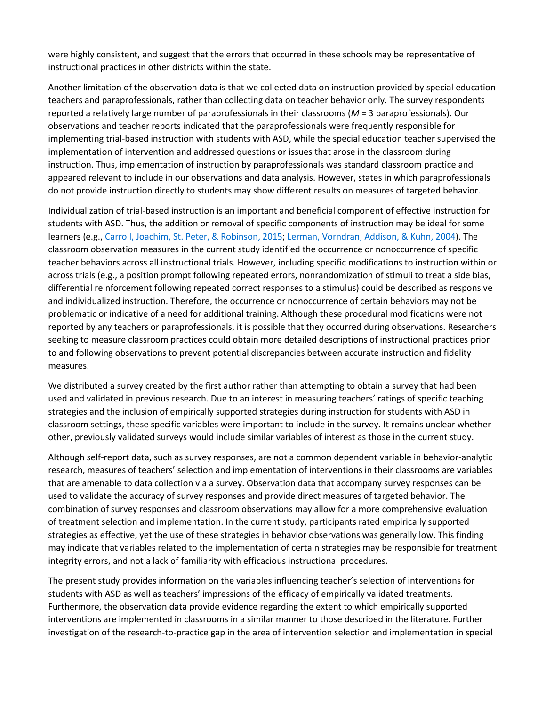were highly consistent, and suggest that the errors that occurred in these schools may be representative of instructional practices in other districts within the state.

Another limitation of the observation data is that we collected data on instruction provided by special education teachers and paraprofessionals, rather than collecting data on teacher behavior only. The survey respondents reported a relatively large number of paraprofessionals in their classrooms (*M* = 3 paraprofessionals). Our observations and teacher reports indicated that the paraprofessionals were frequently responsible for implementing trial-based instruction with students with ASD, while the special education teacher supervised the implementation of intervention and addressed questions or issues that arose in the classroom during instruction. Thus, implementation of instruction by paraprofessionals was standard classroom practice and appeared relevant to include in our observations and data analysis. However, states in which paraprofessionals do not provide instruction directly to students may show different results on measures of targeted behavior.

Individualization of trial-based instruction is an important and beneficial component of effective instruction for students with ASD. Thus, the addition or removal of specific components of instruction may be ideal for some learners (e.g., [Carroll, Joachim, St. Peter, & Robinson, 2015;](https://0-journals-sagepub-com.libus.csd.mu.edu/doi/full/10.1177/0145445517692081) [Lerman, Vorndran, Addison, & Kuhn, 2004\)](https://0-journals-sagepub-com.libus.csd.mu.edu/doi/full/10.1177/0145445517692081). The classroom observation measures in the current study identified the occurrence or nonoccurrence of specific teacher behaviors across all instructional trials. However, including specific modifications to instruction within or across trials (e.g., a position prompt following repeated errors, nonrandomization of stimuli to treat a side bias, differential reinforcement following repeated correct responses to a stimulus) could be described as responsive and individualized instruction. Therefore, the occurrence or nonoccurrence of certain behaviors may not be problematic or indicative of a need for additional training. Although these procedural modifications were not reported by any teachers or paraprofessionals, it is possible that they occurred during observations. Researchers seeking to measure classroom practices could obtain more detailed descriptions of instructional practices prior to and following observations to prevent potential discrepancies between accurate instruction and fidelity measures.

We distributed a survey created by the first author rather than attempting to obtain a survey that had been used and validated in previous research. Due to an interest in measuring teachers' ratings of specific teaching strategies and the inclusion of empirically supported strategies during instruction for students with ASD in classroom settings, these specific variables were important to include in the survey. It remains unclear whether other, previously validated surveys would include similar variables of interest as those in the current study.

Although self-report data, such as survey responses, are not a common dependent variable in behavior-analytic research, measures of teachers' selection and implementation of interventions in their classrooms are variables that are amenable to data collection via a survey. Observation data that accompany survey responses can be used to validate the accuracy of survey responses and provide direct measures of targeted behavior. The combination of survey responses and classroom observations may allow for a more comprehensive evaluation of treatment selection and implementation. In the current study, participants rated empirically supported strategies as effective, yet the use of these strategies in behavior observations was generally low. This finding may indicate that variables related to the implementation of certain strategies may be responsible for treatment integrity errors, and not a lack of familiarity with efficacious instructional procedures.

The present study provides information on the variables influencing teacher's selection of interventions for students with ASD as well as teachers' impressions of the efficacy of empirically validated treatments. Furthermore, the observation data provide evidence regarding the extent to which empirically supported interventions are implemented in classrooms in a similar manner to those described in the literature. Further investigation of the research-to-practice gap in the area of intervention selection and implementation in special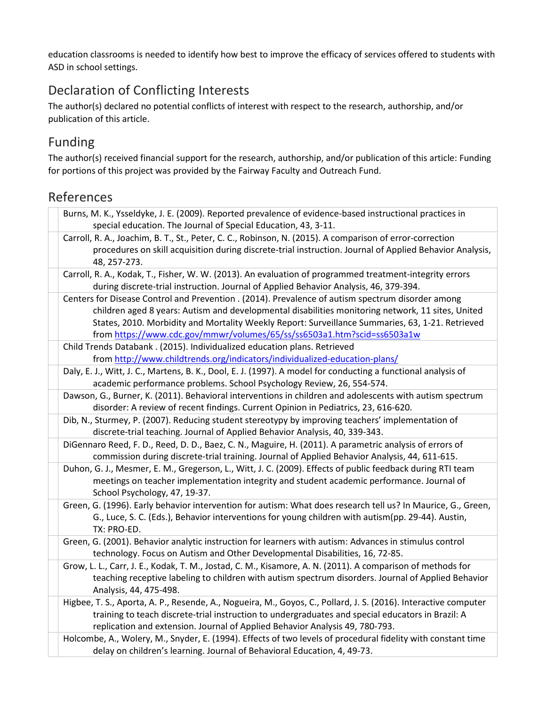education classrooms is needed to identify how best to improve the efficacy of services offered to students with ASD in school settings.

## Declaration of Conflicting Interests

The author(s) declared no potential conflicts of interest with respect to the research, authorship, and/or publication of this article.

## Funding

The author(s) received financial support for the research, authorship, and/or publication of this article: Funding for portions of this project was provided by the Fairway Faculty and Outreach Fund.

## References

| Carroll, R. A., Joachim, B. T., St., Peter, C. C., Robinson, N. (2015). A comparison of error-correction<br>procedures on skill acquisition during discrete-trial instruction. Journal of Applied Behavior Analysis,<br>48, 257-273.<br>Carroll, R. A., Kodak, T., Fisher, W. W. (2013). An evaluation of programmed treatment-integrity errors<br>during discrete-trial instruction. Journal of Applied Behavior Analysis, 46, 379-394.<br>Centers for Disease Control and Prevention . (2014). Prevalence of autism spectrum disorder among<br>children aged 8 years: Autism and developmental disabilities monitoring network, 11 sites, United<br>States, 2010. Morbidity and Mortality Weekly Report: Surveillance Summaries, 63, 1-21. Retrieved<br>from https://www.cdc.gov/mmwr/volumes/65/ss/ss6503a1.htm?scid=ss6503a1w<br>Child Trends Databank . (2015). Individualized education plans. Retrieved<br>from http://www.childtrends.org/indicators/individualized-education-plans/<br>Daly, E. J., Witt, J. C., Martens, B. K., Dool, E. J. (1997). A model for conducting a functional analysis of<br>academic performance problems. School Psychology Review, 26, 554-574.<br>Dawson, G., Burner, K. (2011). Behavioral interventions in children and adolescents with autism spectrum<br>disorder: A review of recent findings. Current Opinion in Pediatrics, 23, 616-620.<br>Dib, N., Sturmey, P. (2007). Reducing student stereotypy by improving teachers' implementation of<br>discrete-trial teaching. Journal of Applied Behavior Analysis, 40, 339-343.<br>DiGennaro Reed, F. D., Reed, D. D., Baez, C. N., Maguire, H. (2011). A parametric analysis of errors of<br>commission during discrete-trial training. Journal of Applied Behavior Analysis, 44, 611-615.<br>Duhon, G. J., Mesmer, E. M., Gregerson, L., Witt, J. C. (2009). Effects of public feedback during RTI team<br>meetings on teacher implementation integrity and student academic performance. Journal of<br>School Psychology, 47, 19-37.<br>Green, G. (1996). Early behavior intervention for autism: What does research tell us? In Maurice, G., Green,<br>G., Luce, S. C. (Eds.), Behavior interventions for young children with autism(pp. 29-44). Austin,<br>TX: PRO-ED.<br>Green, G. (2001). Behavior analytic instruction for learners with autism: Advances in stimulus control<br>technology. Focus on Autism and Other Developmental Disabilities, 16, 72-85.<br>Grow, L. L., Carr, J. E., Kodak, T. M., Jostad, C. M., Kisamore, A. N. (2011). A comparison of methods for<br>teaching receptive labeling to children with autism spectrum disorders. Journal of Applied Behavior<br>Analysis, 44, 475-498.<br>Higbee, T. S., Aporta, A. P., Resende, A., Nogueira, M., Goyos, C., Pollard, J. S. (2016). Interactive computer<br>training to teach discrete-trial instruction to undergraduates and special educators in Brazil: A<br>replication and extension. Journal of Applied Behavior Analysis 49, 780-793.<br>Holcombe, A., Wolery, M., Snyder, E. (1994). Effects of two levels of procedural fidelity with constant time<br>delay on children's learning. Journal of Behavioral Education, 4, 49-73. | Burns, M. K., Ysseldyke, J. E. (2009). Reported prevalence of evidence-based instructional practices in<br>special education. The Journal of Special Education, 43, 3-11. |
|-----------------------------------------------------------------------------------------------------------------------------------------------------------------------------------------------------------------------------------------------------------------------------------------------------------------------------------------------------------------------------------------------------------------------------------------------------------------------------------------------------------------------------------------------------------------------------------------------------------------------------------------------------------------------------------------------------------------------------------------------------------------------------------------------------------------------------------------------------------------------------------------------------------------------------------------------------------------------------------------------------------------------------------------------------------------------------------------------------------------------------------------------------------------------------------------------------------------------------------------------------------------------------------------------------------------------------------------------------------------------------------------------------------------------------------------------------------------------------------------------------------------------------------------------------------------------------------------------------------------------------------------------------------------------------------------------------------------------------------------------------------------------------------------------------------------------------------------------------------------------------------------------------------------------------------------------------------------------------------------------------------------------------------------------------------------------------------------------------------------------------------------------------------------------------------------------------------------------------------------------------------------------------------------------------------------------------------------------------------------------------------------------------------------------------------------------------------------------------------------------------------------------------------------------------------------------------------------------------------------------------------------------------------------------------------------------------------------------------------------------------------------------------------------------------------------------------------------------------------------------------------------------------------------------------------------------------------------------------------------------------------------------------------------------------------------------------------------------------------------------------------------------------------------------------------------------------------------------|---------------------------------------------------------------------------------------------------------------------------------------------------------------------------|
|                                                                                                                                                                                                                                                                                                                                                                                                                                                                                                                                                                                                                                                                                                                                                                                                                                                                                                                                                                                                                                                                                                                                                                                                                                                                                                                                                                                                                                                                                                                                                                                                                                                                                                                                                                                                                                                                                                                                                                                                                                                                                                                                                                                                                                                                                                                                                                                                                                                                                                                                                                                                                                                                                                                                                                                                                                                                                                                                                                                                                                                                                                                                                                                                                       |                                                                                                                                                                           |
|                                                                                                                                                                                                                                                                                                                                                                                                                                                                                                                                                                                                                                                                                                                                                                                                                                                                                                                                                                                                                                                                                                                                                                                                                                                                                                                                                                                                                                                                                                                                                                                                                                                                                                                                                                                                                                                                                                                                                                                                                                                                                                                                                                                                                                                                                                                                                                                                                                                                                                                                                                                                                                                                                                                                                                                                                                                                                                                                                                                                                                                                                                                                                                                                                       |                                                                                                                                                                           |
|                                                                                                                                                                                                                                                                                                                                                                                                                                                                                                                                                                                                                                                                                                                                                                                                                                                                                                                                                                                                                                                                                                                                                                                                                                                                                                                                                                                                                                                                                                                                                                                                                                                                                                                                                                                                                                                                                                                                                                                                                                                                                                                                                                                                                                                                                                                                                                                                                                                                                                                                                                                                                                                                                                                                                                                                                                                                                                                                                                                                                                                                                                                                                                                                                       |                                                                                                                                                                           |
|                                                                                                                                                                                                                                                                                                                                                                                                                                                                                                                                                                                                                                                                                                                                                                                                                                                                                                                                                                                                                                                                                                                                                                                                                                                                                                                                                                                                                                                                                                                                                                                                                                                                                                                                                                                                                                                                                                                                                                                                                                                                                                                                                                                                                                                                                                                                                                                                                                                                                                                                                                                                                                                                                                                                                                                                                                                                                                                                                                                                                                                                                                                                                                                                                       |                                                                                                                                                                           |
|                                                                                                                                                                                                                                                                                                                                                                                                                                                                                                                                                                                                                                                                                                                                                                                                                                                                                                                                                                                                                                                                                                                                                                                                                                                                                                                                                                                                                                                                                                                                                                                                                                                                                                                                                                                                                                                                                                                                                                                                                                                                                                                                                                                                                                                                                                                                                                                                                                                                                                                                                                                                                                                                                                                                                                                                                                                                                                                                                                                                                                                                                                                                                                                                                       |                                                                                                                                                                           |
|                                                                                                                                                                                                                                                                                                                                                                                                                                                                                                                                                                                                                                                                                                                                                                                                                                                                                                                                                                                                                                                                                                                                                                                                                                                                                                                                                                                                                                                                                                                                                                                                                                                                                                                                                                                                                                                                                                                                                                                                                                                                                                                                                                                                                                                                                                                                                                                                                                                                                                                                                                                                                                                                                                                                                                                                                                                                                                                                                                                                                                                                                                                                                                                                                       |                                                                                                                                                                           |
|                                                                                                                                                                                                                                                                                                                                                                                                                                                                                                                                                                                                                                                                                                                                                                                                                                                                                                                                                                                                                                                                                                                                                                                                                                                                                                                                                                                                                                                                                                                                                                                                                                                                                                                                                                                                                                                                                                                                                                                                                                                                                                                                                                                                                                                                                                                                                                                                                                                                                                                                                                                                                                                                                                                                                                                                                                                                                                                                                                                                                                                                                                                                                                                                                       |                                                                                                                                                                           |
|                                                                                                                                                                                                                                                                                                                                                                                                                                                                                                                                                                                                                                                                                                                                                                                                                                                                                                                                                                                                                                                                                                                                                                                                                                                                                                                                                                                                                                                                                                                                                                                                                                                                                                                                                                                                                                                                                                                                                                                                                                                                                                                                                                                                                                                                                                                                                                                                                                                                                                                                                                                                                                                                                                                                                                                                                                                                                                                                                                                                                                                                                                                                                                                                                       |                                                                                                                                                                           |
|                                                                                                                                                                                                                                                                                                                                                                                                                                                                                                                                                                                                                                                                                                                                                                                                                                                                                                                                                                                                                                                                                                                                                                                                                                                                                                                                                                                                                                                                                                                                                                                                                                                                                                                                                                                                                                                                                                                                                                                                                                                                                                                                                                                                                                                                                                                                                                                                                                                                                                                                                                                                                                                                                                                                                                                                                                                                                                                                                                                                                                                                                                                                                                                                                       |                                                                                                                                                                           |
|                                                                                                                                                                                                                                                                                                                                                                                                                                                                                                                                                                                                                                                                                                                                                                                                                                                                                                                                                                                                                                                                                                                                                                                                                                                                                                                                                                                                                                                                                                                                                                                                                                                                                                                                                                                                                                                                                                                                                                                                                                                                                                                                                                                                                                                                                                                                                                                                                                                                                                                                                                                                                                                                                                                                                                                                                                                                                                                                                                                                                                                                                                                                                                                                                       |                                                                                                                                                                           |
|                                                                                                                                                                                                                                                                                                                                                                                                                                                                                                                                                                                                                                                                                                                                                                                                                                                                                                                                                                                                                                                                                                                                                                                                                                                                                                                                                                                                                                                                                                                                                                                                                                                                                                                                                                                                                                                                                                                                                                                                                                                                                                                                                                                                                                                                                                                                                                                                                                                                                                                                                                                                                                                                                                                                                                                                                                                                                                                                                                                                                                                                                                                                                                                                                       |                                                                                                                                                                           |
|                                                                                                                                                                                                                                                                                                                                                                                                                                                                                                                                                                                                                                                                                                                                                                                                                                                                                                                                                                                                                                                                                                                                                                                                                                                                                                                                                                                                                                                                                                                                                                                                                                                                                                                                                                                                                                                                                                                                                                                                                                                                                                                                                                                                                                                                                                                                                                                                                                                                                                                                                                                                                                                                                                                                                                                                                                                                                                                                                                                                                                                                                                                                                                                                                       |                                                                                                                                                                           |
|                                                                                                                                                                                                                                                                                                                                                                                                                                                                                                                                                                                                                                                                                                                                                                                                                                                                                                                                                                                                                                                                                                                                                                                                                                                                                                                                                                                                                                                                                                                                                                                                                                                                                                                                                                                                                                                                                                                                                                                                                                                                                                                                                                                                                                                                                                                                                                                                                                                                                                                                                                                                                                                                                                                                                                                                                                                                                                                                                                                                                                                                                                                                                                                                                       |                                                                                                                                                                           |
|                                                                                                                                                                                                                                                                                                                                                                                                                                                                                                                                                                                                                                                                                                                                                                                                                                                                                                                                                                                                                                                                                                                                                                                                                                                                                                                                                                                                                                                                                                                                                                                                                                                                                                                                                                                                                                                                                                                                                                                                                                                                                                                                                                                                                                                                                                                                                                                                                                                                                                                                                                                                                                                                                                                                                                                                                                                                                                                                                                                                                                                                                                                                                                                                                       |                                                                                                                                                                           |